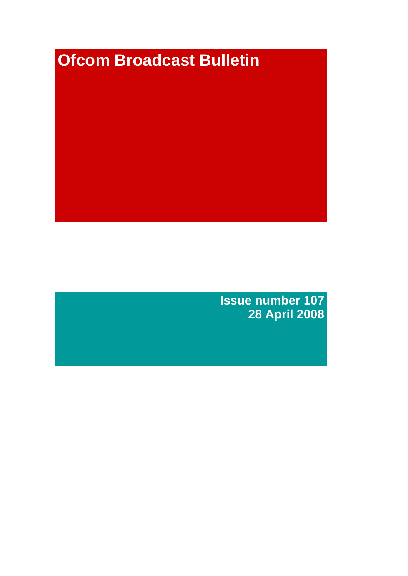# **Ofcom Broadcast Bulletin**

**Issue number 107 28 April 2008**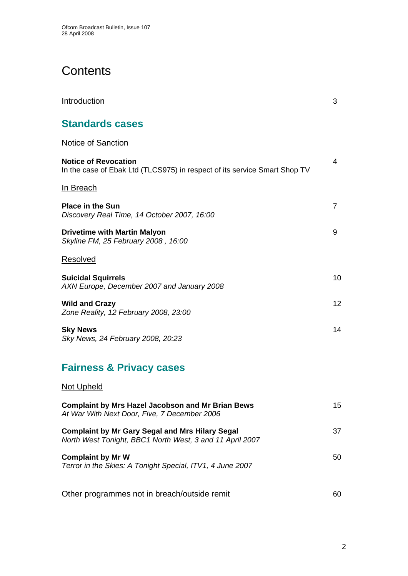# **Contents**

| Introduction                                                                                             | 3               |
|----------------------------------------------------------------------------------------------------------|-----------------|
| <b>Standards cases</b>                                                                                   |                 |
| <b>Notice of Sanction</b>                                                                                |                 |
| <b>Notice of Revocation</b><br>In the case of Ebak Ltd (TLCS975) in respect of its service Smart Shop TV | 4               |
| In Breach                                                                                                |                 |
| <b>Place in the Sun</b><br>Discovery Real Time, 14 October 2007, 16:00                                   | $\overline{7}$  |
| <b>Drivetime with Martin Malyon</b><br>Skyline FM, 25 February 2008, 16:00                               | 9               |
| <b>Resolved</b>                                                                                          |                 |
| <b>Suicidal Squirrels</b><br>AXN Europe, December 2007 and January 2008                                  | 10 <sup>1</sup> |
| <b>Wild and Crazy</b><br>Zone Reality, 12 February 2008, 23:00                                           | 12              |
| <b>Sky News</b><br>Sky News, 24 February 2008, 20:23                                                     | 14              |

## **Fairness & Privacy cases**

## Not Upheld

| <b>Complaint by Mrs Hazel Jacobson and Mr Brian Bews</b><br>At War With Next Door, Five, 7 December 2006           | 15 |
|--------------------------------------------------------------------------------------------------------------------|----|
| <b>Complaint by Mr Gary Segal and Mrs Hilary Segal</b><br>North West Tonight, BBC1 North West, 3 and 11 April 2007 | 37 |
| <b>Complaint by Mr W</b><br>Terror in the Skies: A Tonight Special, ITV1, 4 June 2007                              | 50 |
| Other programmes not in breach/outside remit                                                                       | 60 |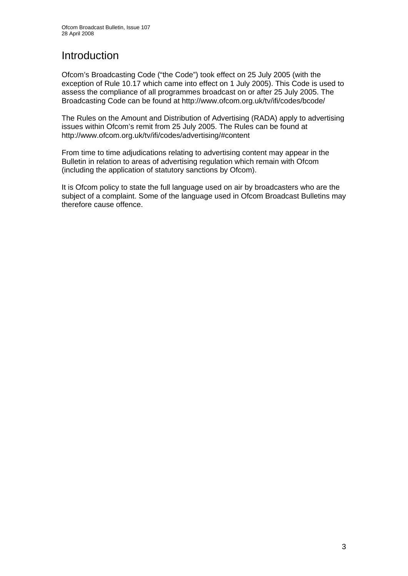## Introduction

Ofcom's Broadcasting Code ("the Code") took effect on 25 July 2005 (with the exception of Rule 10.17 which came into effect on 1 July 2005). This Code is used to assess the compliance of all programmes broadcast on or after 25 July 2005. The Broadcasting Code can be found at http://www.ofcom.org.uk/tv/ifi/codes/bcode/

The Rules on the Amount and Distribution of Advertising (RADA) apply to advertising issues within Ofcom's remit from 25 July 2005. The Rules can be found at http://www.ofcom.org.uk/tv/ifi/codes/advertising/#content

From time to time adjudications relating to advertising content may appear in the Bulletin in relation to areas of advertising regulation which remain with Ofcom (including the application of statutory sanctions by Ofcom).

It is Ofcom policy to state the full language used on air by broadcasters who are the subject of a complaint. Some of the language used in Ofcom Broadcast Bulletins may therefore cause offence.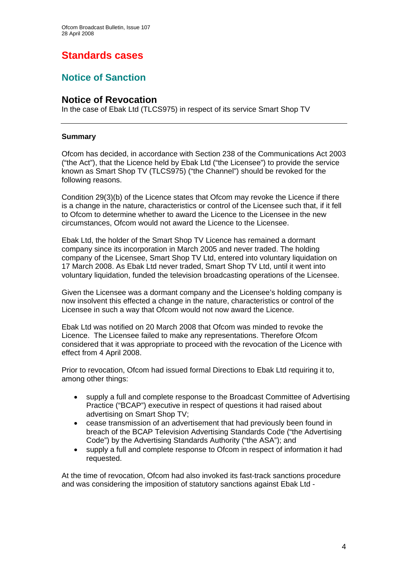## **Standards cases**

## **Notice of Sanction**

### **Notice of Revocation**

In the case of Ebak Ltd (TLCS975) in respect of its service Smart Shop TV

#### **Summary**

Ofcom has decided, in accordance with Section 238 of the Communications Act 2003 ("the Act"), that the Licence held by Ebak Ltd ("the Licensee") to provide the service known as Smart Shop TV (TLCS975) ("the Channel") should be revoked for the following reasons.

Condition 29(3)(b) of the Licence states that Ofcom may revoke the Licence if there is a change in the nature, characteristics or control of the Licensee such that, if it fell to Ofcom to determine whether to award the Licence to the Licensee in the new circumstances, Ofcom would not award the Licence to the Licensee.

Ebak Ltd, the holder of the Smart Shop TV Licence has remained a dormant company since its incorporation in March 2005 and never traded. The holding company of the Licensee, Smart Shop TV Ltd, entered into voluntary liquidation on 17 March 2008. As Ebak Ltd never traded, Smart Shop TV Ltd, until it went into voluntary liquidation, funded the television broadcasting operations of the Licensee.

Given the Licensee was a dormant company and the Licensee's holding company is now insolvent this effected a change in the nature, characteristics or control of the Licensee in such a way that Ofcom would not now award the Licence.

Ebak Ltd was notified on 20 March 2008 that Ofcom was minded to revoke the Licence. The Licensee failed to make any representations. Therefore Ofcom considered that it was appropriate to proceed with the revocation of the Licence with effect from 4 April 2008.

Prior to revocation, Ofcom had issued formal Directions to Ebak Ltd requiring it to, among other things:

- supply a full and complete response to the Broadcast Committee of Advertising Practice ("BCAP") executive in respect of questions it had raised about advertising on Smart Shop TV;
- cease transmission of an advertisement that had previously been found in breach of the BCAP Television Advertising Standards Code ("the Advertising Code") by the Advertising Standards Authority ("the ASA"); and
- supply a full and complete response to Ofcom in respect of information it had requested.

At the time of revocation, Ofcom had also invoked its fast-track sanctions procedure and was considering the imposition of statutory sanctions against Ebak Ltd -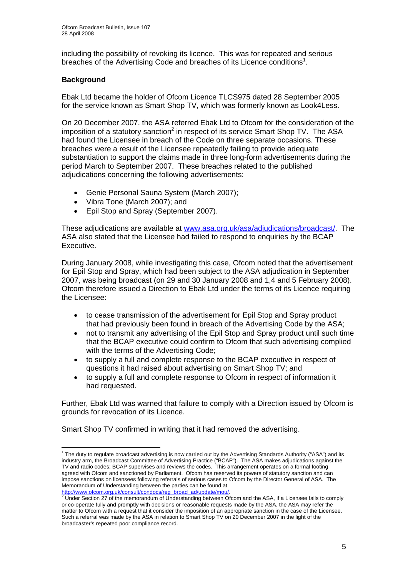including the possibility of revoking its licence. This was for repeated and serious breaches of the Advertising Code and breaches of its Licence conditions<sup>1</sup>.

#### **Background**

Ebak Ltd became the holder of Ofcom Licence TLCS975 dated 28 September 2005 for the service known as Smart Shop TV, which was formerly known as Look4Less.

On 20 December 2007, the ASA referred Ebak Ltd to Ofcom for the consideration of the imposition of a statutory sanction<sup>2</sup> in respect of its service Smart Shop TV. The ASA had found the Licensee in breach of the Code on three separate occasions. These breaches were a result of the Licensee repeatedly failing to provide adequate substantiation to support the claims made in three long-form advertisements during the period March to September 2007. These breaches related to the published adjudications concerning the following advertisements:

- Genie Personal Sauna System (March 2007);
- Vibra Tone (March 2007); and
- Epil Stop and Spray (September 2007).

These adjudications are available at www.asa.org.uk/asa/adjudications/broadcast/. The ASA also stated that the Licensee had failed to respond to enquiries by the BCAP Executive.

During January 2008, while investigating this case, Ofcom noted that the advertisement for Epil Stop and Spray, which had been subject to the ASA adjudication in September 2007, was being broadcast (on 29 and 30 January 2008 and 1,4 and 5 February 2008). Ofcom therefore issued a Direction to Ebak Ltd under the terms of its Licence requiring the Licensee:

- to cease transmission of the advertisement for Epil Stop and Spray product that had previously been found in breach of the Advertising Code by the ASA;
- not to transmit any advertising of the Epil Stop and Spray product until such time that the BCAP executive could confirm to Ofcom that such advertising complied with the terms of the Advertising Code;
- to supply a full and complete response to the BCAP executive in respect of questions it had raised about advertising on Smart Shop TV; and
- to supply a full and complete response to Ofcom in respect of information it had requested.

Further, Ebak Ltd was warned that failure to comply with a Direction issued by Ofcom is grounds for revocation of its Licence.

Smart Shop TV confirmed in writing that it had removed the advertising.

 1 The duty to regulate broadcast advertising is now carried out by the Advertising Standards Authority ("ASA") and its industry arm, the Broadcast Committee of Advertising Practice ("BCAP"). The ASA makes adjudications against the TV and radio codes; BCAP supervises and reviews the codes. This arrangement operates on a formal footing agreed with Ofcom and sanctioned by Parliament. Ofcom has reserved its powers of statutory sanction and can impose sanctions on licensees following referrals of serious cases to Ofcom by the Director General of ASA. The Memorandum of Understanding between the parties can be found at

<sup>&</sup>lt;u>http://www.ofcom.org.uk/consult/condocs/reg\_broad\_ad/update/mou/</u>.<br><sup>2</sup> Under Section 27 of the memorandum of Understanding between Ofcom and the ASA, if a Licensee fails to comply or co-operate fully and promptly with decisions or reasonable requests made by the ASA, the ASA may refer the matter to Ofcom with a request that it consider the imposition of an appropriate sanction in the case of the Licensee. Such a referral was made by the ASA in relation to Smart Shop TV on 20 December 2007 in the light of the broadcaster's repeated poor compliance record.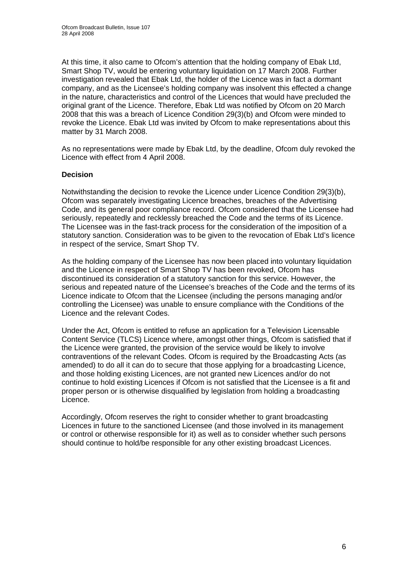At this time, it also came to Ofcom's attention that the holding company of Ebak Ltd, Smart Shop TV, would be entering voluntary liquidation on 17 March 2008. Further investigation revealed that Ebak Ltd, the holder of the Licence was in fact a dormant company, and as the Licensee's holding company was insolvent this effected a change in the nature, characteristics and control of the Licences that would have precluded the original grant of the Licence. Therefore, Ebak Ltd was notified by Ofcom on 20 March 2008 that this was a breach of Licence Condition 29(3)(b) and Ofcom were minded to revoke the Licence. Ebak Ltd was invited by Ofcom to make representations about this matter by 31 March 2008.

As no representations were made by Ebak Ltd, by the deadline, Ofcom duly revoked the Licence with effect from 4 April 2008.

#### **Decision**

Notwithstanding the decision to revoke the Licence under Licence Condition 29(3)(b), Ofcom was separately investigating Licence breaches, breaches of the Advertising Code, and its general poor compliance record. Ofcom considered that the Licensee had seriously, repeatedly and recklessly breached the Code and the terms of its Licence. The Licensee was in the fast-track process for the consideration of the imposition of a statutory sanction. Consideration was to be given to the revocation of Ebak Ltd's licence in respect of the service, Smart Shop TV.

As the holding company of the Licensee has now been placed into voluntary liquidation and the Licence in respect of Smart Shop TV has been revoked, Ofcom has discontinued its consideration of a statutory sanction for this service. However, the serious and repeated nature of the Licensee's breaches of the Code and the terms of its Licence indicate to Ofcom that the Licensee (including the persons managing and/or controlling the Licensee) was unable to ensure compliance with the Conditions of the Licence and the relevant Codes.

Under the Act, Ofcom is entitled to refuse an application for a Television Licensable Content Service (TLCS) Licence where, amongst other things, Ofcom is satisfied that if the Licence were granted, the provision of the service would be likely to involve contraventions of the relevant Codes. Ofcom is required by the Broadcasting Acts (as amended) to do all it can do to secure that those applying for a broadcasting Licence, and those holding existing Licences, are not granted new Licences and/or do not continue to hold existing Licences if Ofcom is not satisfied that the Licensee is a fit and proper person or is otherwise disqualified by legislation from holding a broadcasting Licence.

Accordingly, Ofcom reserves the right to consider whether to grant broadcasting Licences in future to the sanctioned Licensee (and those involved in its management or control or otherwise responsible for it) as well as to consider whether such persons should continue to hold/be responsible for any other existing broadcast Licences.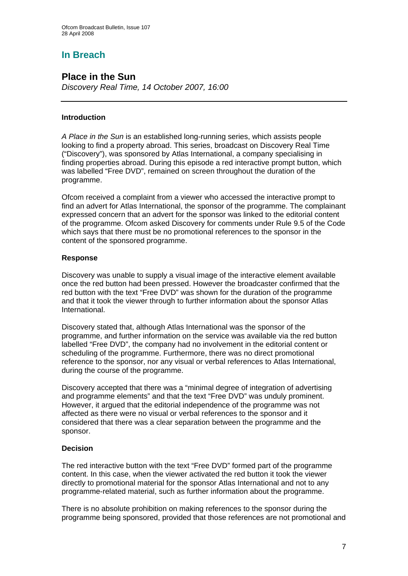## **In Breach**

## **Place in the Sun**

*Discovery Real Time, 14 October 2007, 16:00* 

#### **Introduction**

*A Place in the Sun* is an established long-running series, which assists people looking to find a property abroad. This series, broadcast on Discovery Real Time ("Discovery"), was sponsored by Atlas International, a company specialising in finding properties abroad. During this episode a red interactive prompt button, which was labelled "Free DVD", remained on screen throughout the duration of the programme.

Ofcom received a complaint from a viewer who accessed the interactive prompt to find an advert for Atlas International, the sponsor of the programme. The complainant expressed concern that an advert for the sponsor was linked to the editorial content of the programme. Ofcom asked Discovery for comments under Rule 9.5 of the Code which says that there must be no promotional references to the sponsor in the content of the sponsored programme.

#### **Response**

Discovery was unable to supply a visual image of the interactive element available once the red button had been pressed. However the broadcaster confirmed that the red button with the text "Free DVD" was shown for the duration of the programme and that it took the viewer through to further information about the sponsor Atlas International.

Discovery stated that, although Atlas International was the sponsor of the programme, and further information on the service was available via the red button labelled "Free DVD", the company had no involvement in the editorial content or scheduling of the programme. Furthermore, there was no direct promotional reference to the sponsor, nor any visual or verbal references to Atlas International, during the course of the programme.

Discovery accepted that there was a "minimal degree of integration of advertising and programme elements" and that the text "Free DVD" was unduly prominent. However, it argued that the editorial independence of the programme was not affected as there were no visual or verbal references to the sponsor and it considered that there was a clear separation between the programme and the sponsor.

#### **Decision**

The red interactive button with the text "Free DVD" formed part of the programme content. In this case, when the viewer activated the red button it took the viewer directly to promotional material for the sponsor Atlas International and not to any programme-related material, such as further information about the programme.

There is no absolute prohibition on making references to the sponsor during the programme being sponsored, provided that those references are not promotional and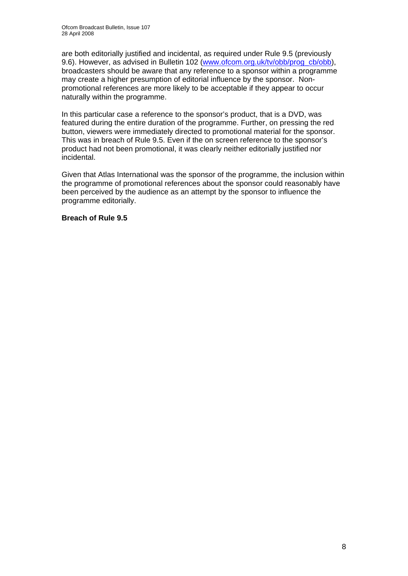are both editorially justified and incidental, as required under Rule 9.5 (previously 9.6). However, as advised in Bulletin 102 (www.ofcom.org.uk/tv/obb/prog\_cb/obb), broadcasters should be aware that any reference to a sponsor within a programme may create a higher presumption of editorial influence by the sponsor. Nonpromotional references are more likely to be acceptable if they appear to occur naturally within the programme.

In this particular case a reference to the sponsor's product, that is a DVD, was featured during the entire duration of the programme. Further, on pressing the red button, viewers were immediately directed to promotional material for the sponsor. This was in breach of Rule 9.5. Even if the on screen reference to the sponsor's product had not been promotional, it was clearly neither editorially justified nor incidental.

Given that Atlas International was the sponsor of the programme, the inclusion within the programme of promotional references about the sponsor could reasonably have been perceived by the audience as an attempt by the sponsor to influence the programme editorially.

**Breach of Rule 9.5**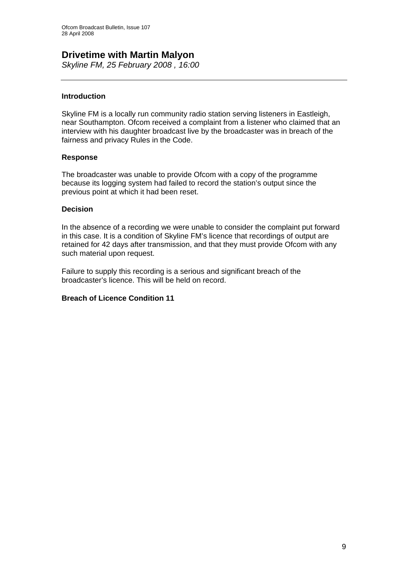## **Drivetime with Martin Malyon**

*Skyline FM, 25 February 2008 , 16:00* 

#### **Introduction**

Skyline FM is a locally run community radio station serving listeners in Eastleigh, near Southampton. Ofcom received a complaint from a listener who claimed that an interview with his daughter broadcast live by the broadcaster was in breach of the fairness and privacy Rules in the Code.

#### **Response**

The broadcaster was unable to provide Ofcom with a copy of the programme because its logging system had failed to record the station's output since the previous point at which it had been reset.

#### **Decision**

In the absence of a recording we were unable to consider the complaint put forward in this case. It is a condition of Skyline FM's licence that recordings of output are retained for 42 days after transmission, and that they must provide Ofcom with any such material upon request.

Failure to supply this recording is a serious and significant breach of the broadcaster's licence. This will be held on record.

#### **Breach of Licence Condition 11**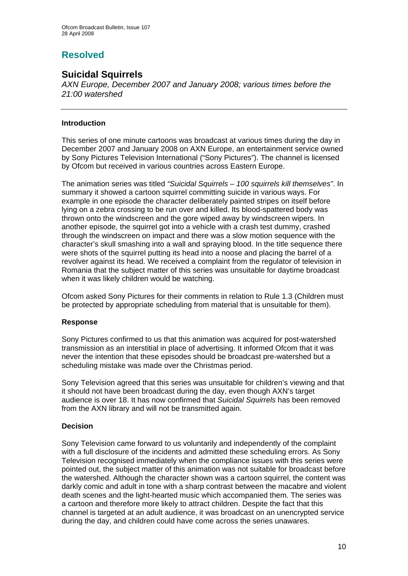## **Resolved**

## **Suicidal Squirrels**

*AXN Europe, December 2007 and January 2008; various times before the 21:00 watershed* 

#### **Introduction**

This series of one minute cartoons was broadcast at various times during the day in December 2007 and January 2008 on AXN Europe, an entertainment service owned by Sony Pictures Television International ("Sony Pictures"). The channel is licensed by Ofcom but received in various countries across Eastern Europe.

The animation series was titled *"Suicidal Squirrels – 100 squirrels kill themselves"*. In summary it showed a cartoon squirrel committing suicide in various ways. For example in one episode the character deliberately painted stripes on itself before lying on a zebra crossing to be run over and killed. Its blood-spattered body was thrown onto the windscreen and the gore wiped away by windscreen wipers. In another episode, the squirrel got into a vehicle with a crash test dummy, crashed through the windscreen on impact and there was a slow motion sequence with the character's skull smashing into a wall and spraying blood. In the title sequence there were shots of the squirrel putting its head into a noose and placing the barrel of a revolver against its head. We received a complaint from the regulator of television in Romania that the subject matter of this series was unsuitable for daytime broadcast when it was likely children would be watching.

Ofcom asked Sony Pictures for their comments in relation to Rule 1.3 (Children must be protected by appropriate scheduling from material that is unsuitable for them).

#### **Response**

Sony Pictures confirmed to us that this animation was acquired for post-watershed transmission as an interstitial in place of advertising. It informed Ofcom that it was never the intention that these episodes should be broadcast pre-watershed but a scheduling mistake was made over the Christmas period.

Sony Television agreed that this series was unsuitable for children's viewing and that it should not have been broadcast during the day, even though AXN's target audience is over 18. It has now confirmed that *Suicidal Squirrels* has been removed from the AXN library and will not be transmitted again.

#### **Decision**

Sony Television came forward to us voluntarily and independently of the complaint with a full disclosure of the incidents and admitted these scheduling errors. As Sony Television recognised immediately when the compliance issues with this series were pointed out, the subject matter of this animation was not suitable for broadcast before the watershed. Although the character shown was a cartoon squirrel, the content was darkly comic and adult in tone with a sharp contrast between the macabre and violent death scenes and the light-hearted music which accompanied them. The series was a cartoon and therefore more likely to attract children. Despite the fact that this channel is targeted at an adult audience, it was broadcast on an unencrypted service during the day, and children could have come across the series unawares.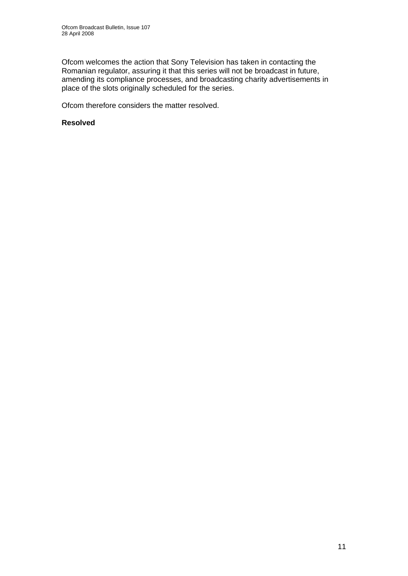Ofcom welcomes the action that Sony Television has taken in contacting the Romanian regulator, assuring it that this series will not be broadcast in future, amending its compliance processes, and broadcasting charity advertisements in place of the slots originally scheduled for the series.

Ofcom therefore considers the matter resolved.

#### **Resolved**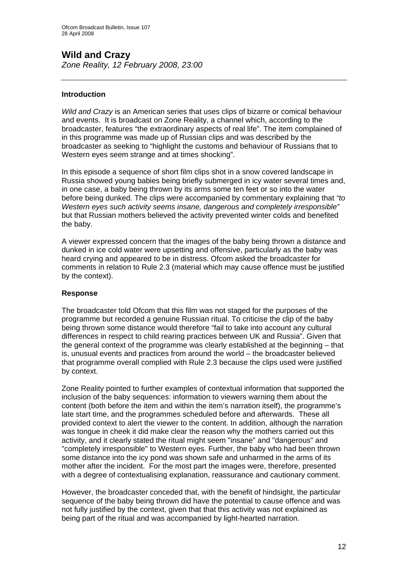## **Wild and Crazy**

*Zone Reality, 12 February 2008, 23:00* 

#### **Introduction**

*Wild and Crazy* is an American series that uses clips of bizarre or comical behaviour and events. It is broadcast on Zone Reality, a channel which, according to the broadcaster, features "the extraordinary aspects of real life". The item complained of in this programme was made up of Russian clips and was described by the broadcaster as seeking to "highlight the customs and behaviour of Russians that to Western eyes seem strange and at times shocking".

In this episode a sequence of short film clips shot in a snow covered landscape in Russia showed young babies being briefly submerged in icy water several times and, in one case, a baby being thrown by its arms some ten feet or so into the water before being dunked. The clips were accompanied by commentary explaining that *"to Western eyes such activity seems insane, dangerous and completely irresponsible"* but that Russian mothers believed the activity prevented winter colds and benefited the baby.

A viewer expressed concern that the images of the baby being thrown a distance and dunked in ice cold water were upsetting and offensive, particularly as the baby was heard crying and appeared to be in distress. Ofcom asked the broadcaster for comments in relation to Rule 2.3 (material which may cause offence must be justified by the context).

#### **Response**

The broadcaster told Ofcom that this film was not staged for the purposes of the programme but recorded a genuine Russian ritual. To criticise the clip of the baby being thrown some distance would therefore "fail to take into account any cultural differences in respect to child rearing practices between UK and Russia". Given that the general context of the programme was clearly established at the beginning – that is, unusual events and practices from around the world – the broadcaster believed that programme overall complied with Rule 2.3 because the clips used were justified by context.

Zone Reality pointed to further examples of contextual information that supported the inclusion of the baby sequences: information to viewers warning them about the content (both before the item and within the item's narration itself), the programme's late start time, and the programmes scheduled before and afterwards. These all provided context to alert the viewer to the content. In addition, although the narration was tongue in cheek it did make clear the reason why the mothers carried out this activity, and it clearly stated the ritual might seem "insane" and "dangerous" and "completely irresponsible" to Western eyes. Further, the baby who had been thrown some distance into the icy pond was shown safe and unharmed in the arms of its mother after the incident. For the most part the images were, therefore, presented with a degree of contextualising explanation, reassurance and cautionary comment.

However, the broadcaster conceded that, with the benefit of hindsight, the particular sequence of the baby being thrown did have the potential to cause offence and was not fully justified by the context, given that that this activity was not explained as being part of the ritual and was accompanied by light-hearted narration.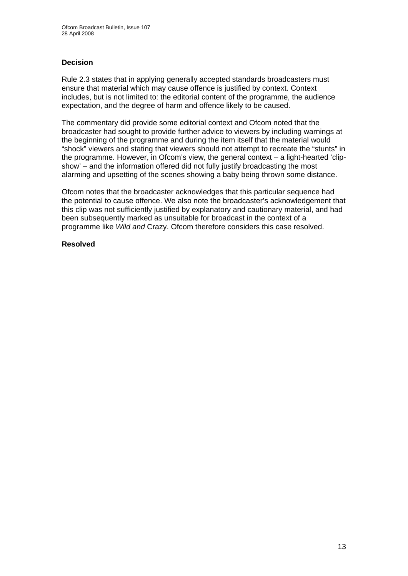#### **Decision**

Rule 2.3 states that in applying generally accepted standards broadcasters must ensure that material which may cause offence is justified by context. Context includes, but is not limited to: the editorial content of the programme, the audience expectation, and the degree of harm and offence likely to be caused.

The commentary did provide some editorial context and Ofcom noted that the broadcaster had sought to provide further advice to viewers by including warnings at the beginning of the programme and during the item itself that the material would "shock" viewers and stating that viewers should not attempt to recreate the "stunts" in the programme. However, in Ofcom's view, the general context – a light-hearted 'clipshow' – and the information offered did not fully justify broadcasting the most alarming and upsetting of the scenes showing a baby being thrown some distance.

Ofcom notes that the broadcaster acknowledges that this particular sequence had the potential to cause offence. We also note the broadcaster's acknowledgement that this clip was not sufficiently justified by explanatory and cautionary material, and had been subsequently marked as unsuitable for broadcast in the context of a programme like *Wild and* Crazy. Ofcom therefore considers this case resolved.

#### **Resolved**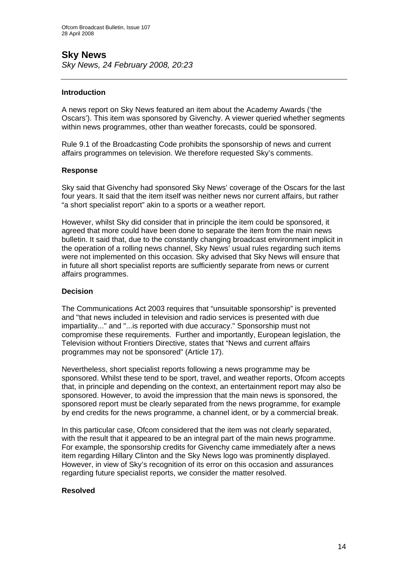## **Sky News**

*Sky News, 24 February 2008, 20:23* 

#### **Introduction**

A news report on Sky News featured an item about the Academy Awards ('the Oscars'). This item was sponsored by Givenchy. A viewer queried whether segments within news programmes, other than weather forecasts, could be sponsored.

Rule 9.1 of the Broadcasting Code prohibits the sponsorship of news and current affairs programmes on television. We therefore requested Sky's comments.

#### **Response**

Sky said that Givenchy had sponsored Sky News' coverage of the Oscars for the last four years. It said that the item itself was neither news nor current affairs, but rather "a short specialist report" akin to a sports or a weather report.

However, whilst Sky did consider that in principle the item could be sponsored, it agreed that more could have been done to separate the item from the main news bulletin. It said that, due to the constantly changing broadcast environment implicit in the operation of a rolling news channel, Sky News' usual rules regarding such items were not implemented on this occasion. Sky advised that Sky News will ensure that in future all short specialist reports are sufficiently separate from news or current affairs programmes.

#### **Decision**

The Communications Act 2003 requires that "unsuitable sponsorship" is prevented and "that news included in television and radio services is presented with due impartiality..." and "...is reported with due accuracy." Sponsorship must not compromise these requirements. Further and importantly, European legislation, the Television without Frontiers Directive, states that "News and current affairs programmes may not be sponsored" (Article 17).

Nevertheless, short specialist reports following a news programme may be sponsored. Whilst these tend to be sport, travel, and weather reports, Ofcom accepts that, in principle and depending on the context, an entertainment report may also be sponsored. However, to avoid the impression that the main news is sponsored, the sponsored report must be clearly separated from the news programme, for example by end credits for the news programme, a channel ident, or by a commercial break.

In this particular case, Ofcom considered that the item was not clearly separated, with the result that it appeared to be an integral part of the main news programme. For example, the sponsorship credits for Givenchy came immediately after a news item regarding Hillary Clinton and the Sky News logo was prominently displayed. However, in view of Sky's recognition of its error on this occasion and assurances regarding future specialist reports, we consider the matter resolved.

#### **Resolved**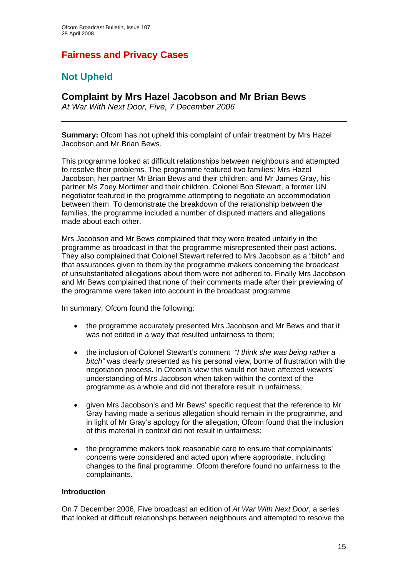## **Fairness and Privacy Cases**

## **Not Upheld**

#### **Complaint by Mrs Hazel Jacobson and Mr Brian Bews**

*At War With Next Door, Five, 7 December 2006* 

**Summary:** Ofcom has not upheld this complaint of unfair treatment by Mrs Hazel Jacobson and Mr Brian Bews.

This programme looked at difficult relationships between neighbours and attempted to resolve their problems. The programme featured two families: Mrs Hazel Jacobson, her partner Mr Brian Bews and their children; and Mr James Gray, his partner Ms Zoey Mortimer and their children. Colonel Bob Stewart, a former UN negotiator featured in the programme attempting to negotiate an accommodation between them. To demonstrate the breakdown of the relationship between the families, the programme included a number of disputed matters and allegations made about each other.

Mrs Jacobson and Mr Bews complained that they were treated unfairly in the programme as broadcast in that the programme misrepresented their past actions. They also complained that Colonel Stewart referred to Mrs Jacobson as a "bitch" and that assurances given to them by the programme makers concerning the broadcast of unsubstantiated allegations about them were not adhered to. Finally Mrs Jacobson and Mr Bews complained that none of their comments made after their previewing of the programme were taken into account in the broadcast programme

In summary, Ofcom found the following:

- the programme accurately presented Mrs Jacobson and Mr Bews and that it was not edited in a way that resulted unfairness to them;
- the inclusion of Colonel Stewart's comment *"I think she was being rather a bitch"* was clearly presented as his personal view, borne of frustration with the negotiation process. In Ofcom's view this would not have affected viewers' understanding of Mrs Jacobson when taken within the context of the programme as a whole and did not therefore result in unfairness;
- given Mrs Jacobson's and Mr Bews' specific request that the reference to Mr Gray having made a serious allegation should remain in the programme, and in light of Mr Gray's apology for the allegation, Ofcom found that the inclusion of this material in context did not result in unfairness;
- the programme makers took reasonable care to ensure that complainants' concerns were considered and acted upon where appropriate, including changes to the final programme. Ofcom therefore found no unfairness to the complainants.

#### **Introduction**

On 7 December 2006, Five broadcast an edition of *At War With Next Door*, a series that looked at difficult relationships between neighbours and attempted to resolve the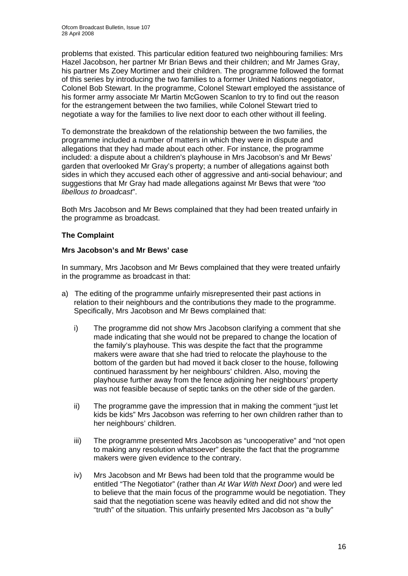problems that existed. This particular edition featured two neighbouring families: Mrs Hazel Jacobson, her partner Mr Brian Bews and their children; and Mr James Gray, his partner Ms Zoey Mortimer and their children. The programme followed the format of this series by introducing the two families to a former United Nations negotiator, Colonel Bob Stewart. In the programme, Colonel Stewart employed the assistance of his former army associate Mr Martin McGowen Scanlon to try to find out the reason for the estrangement between the two families, while Colonel Stewart tried to negotiate a way for the families to live next door to each other without ill feeling.

To demonstrate the breakdown of the relationship between the two families, the programme included a number of matters in which they were in dispute and allegations that they had made about each other. For instance, the programme included: a dispute about a children's playhouse in Mrs Jacobson's and Mr Bews' garden that overlooked Mr Gray's property; a number of allegations against both sides in which they accused each other of aggressive and anti-social behaviour; and suggestions that Mr Gray had made allegations against Mr Bews that were *"too libellous to broadcast*".

Both Mrs Jacobson and Mr Bews complained that they had been treated unfairly in the programme as broadcast.

#### **The Complaint**

#### **Mrs Jacobson's and Mr Bews' case**

In summary, Mrs Jacobson and Mr Bews complained that they were treated unfairly in the programme as broadcast in that:

- a) The editing of the programme unfairly misrepresented their past actions in relation to their neighbours and the contributions they made to the programme. Specifically, Mrs Jacobson and Mr Bews complained that:
	- i) The programme did not show Mrs Jacobson clarifying a comment that she made indicating that she would not be prepared to change the location of the family's playhouse. This was despite the fact that the programme makers were aware that she had tried to relocate the playhouse to the bottom of the garden but had moved it back closer to the house, following continued harassment by her neighbours' children. Also, moving the playhouse further away from the fence adjoining her neighbours' property was not feasible because of septic tanks on the other side of the garden.
	- ii) The programme gave the impression that in making the comment "just let kids be kids" Mrs Jacobson was referring to her own children rather than to her neighbours' children.
	- iii) The programme presented Mrs Jacobson as "uncooperative" and "not open to making any resolution whatsoever" despite the fact that the programme makers were given evidence to the contrary.
	- iv) Mrs Jacobson and Mr Bews had been told that the programme would be entitled "The Negotiator" (rather than *At War With Next Door*) and were led to believe that the main focus of the programme would be negotiation. They said that the negotiation scene was heavily edited and did not show the "truth" of the situation. This unfairly presented Mrs Jacobson as "a bully"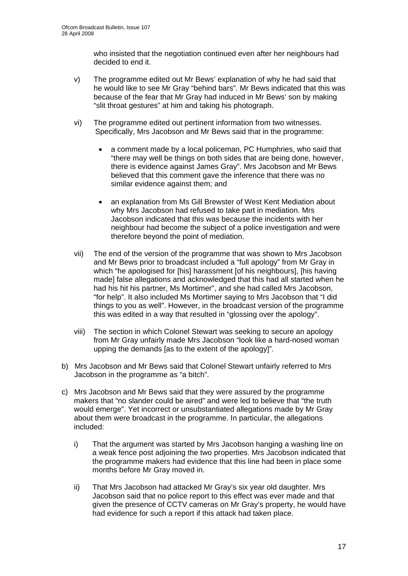who insisted that the negotiation continued even after her neighbours had decided to end it.

- v) The programme edited out Mr Bews' explanation of why he had said that he would like to see Mr Gray "behind bars". Mr Bews indicated that this was because of the fear that Mr Gray had induced in Mr Bews' son by making "slit throat gestures" at him and taking his photograph.
- vi) The programme edited out pertinent information from two witnesses. Specifically, Mrs Jacobson and Mr Bews said that in the programme:
	- a comment made by a local policeman, PC Humphries, who said that "there may well be things on both sides that are being done, however, there is evidence against James Gray". Mrs Jacobson and Mr Bews believed that this comment gave the inference that there was no similar evidence against them; and
	- an explanation from Ms Gill Brewster of West Kent Mediation about why Mrs Jacobson had refused to take part in mediation. Mrs Jacobson indicated that this was because the incidents with her neighbour had become the subject of a police investigation and were therefore beyond the point of mediation.
- vii) The end of the version of the programme that was shown to Mrs Jacobson and Mr Bews prior to broadcast included a "full apology" from Mr Gray in which "he apologised for [his] harassment [of his neighbours], [his having made] false allegations and acknowledged that this had all started when he had his hit his partner, Ms Mortimer", and she had called Mrs Jacobson, "for help". It also included Ms Mortimer saying to Mrs Jacobson that "I did things to you as well". However, in the broadcast version of the programme this was edited in a way that resulted in "glossing over the apology".
- viii) The section in which Colonel Stewart was seeking to secure an apology from Mr Gray unfairly made Mrs Jacobson "look like a hard-nosed woman upping the demands [as to the extent of the apology]".
- b) Mrs Jacobson and Mr Bews said that Colonel Stewart unfairly referred to Mrs Jacobson in the programme as "a bitch".
- c) Mrs Jacobson and Mr Bews said that they were assured by the programme makers that "no slander could be aired" and were led to believe that "the truth would emerge". Yet incorrect or unsubstantiated allegations made by Mr Gray about them were broadcast in the programme. In particular, the allegations included:
	- i) That the argument was started by Mrs Jacobson hanging a washing line on a weak fence post adjoining the two properties. Mrs Jacobson indicated that the programme makers had evidence that this line had been in place some months before Mr Gray moved in.
	- ii) That Mrs Jacobson had attacked Mr Gray's six year old daughter. Mrs Jacobson said that no police report to this effect was ever made and that given the presence of CCTV cameras on Mr Gray's property, he would have had evidence for such a report if this attack had taken place.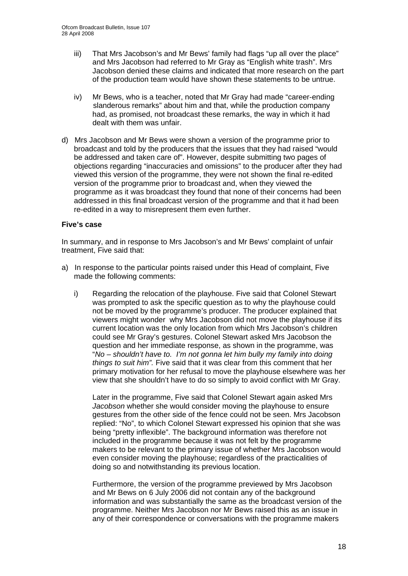- iii) That Mrs Jacobson's and Mr Bews' family had flags "up all over the place" and Mrs Jacobson had referred to Mr Gray as "English white trash". Mrs Jacobson denied these claims and indicated that more research on the part of the production team would have shown these statements to be untrue.
- iv) Mr Bews, who is a teacher, noted that Mr Gray had made "career-ending slanderous remarks" about him and that, while the production company had, as promised, not broadcast these remarks, the way in which it had dealt with them was unfair.
- d) Mrs Jacobson and Mr Bews were shown a version of the programme prior to broadcast and told by the producers that the issues that they had raised "would be addressed and taken care of". However, despite submitting two pages of objections regarding "inaccuracies and omissions" to the producer after they had viewed this version of the programme, they were not shown the final re-edited version of the programme prior to broadcast and, when they viewed the programme as it was broadcast they found that none of their concerns had been addressed in this final broadcast version of the programme and that it had been re-edited in a way to misrepresent them even further.

#### **Five's case**

In summary, and in response to Mrs Jacobson's and Mr Bews' complaint of unfair treatment, Five said that:

- a) In response to the particular points raised under this Head of complaint, Five made the following comments:
	- i) Regarding the relocation of the playhouse. Five said that Colonel Stewart was prompted to ask the specific question as to why the playhouse could not be moved by the programme's producer. The producer explained that viewers might wonder why Mrs Jacobson did not move the playhouse if its current location was the only location from which Mrs Jacobson's children could see Mr Gray's gestures. Colonel Stewart asked Mrs Jacobson the question and her immediate response, as shown in the programme, was "*No – shouldn't have to. I'm not gonna let him bully my family into doing things to suit him".* Five said that it was clear from this comment that her primary motivation for her refusal to move the playhouse elsewhere was her view that she shouldn't have to do so simply to avoid conflict with Mr Gray.

Later in the programme, Five said that Colonel Stewart again asked Mrs *Jacobson* whether she would consider moving the playhouse to ensure gestures from the other side of the fence could not be seen. Mrs Jacobson replied: "No", to which Colonel Stewart expressed his opinion that she was being "pretty inflexible". The background information was therefore not included in the programme because it was not felt by the programme makers to be relevant to the primary issue of whether Mrs Jacobson would even consider moving the playhouse; regardless of the practicalities of doing so and notwithstanding its previous location.

Furthermore, the version of the programme previewed by Mrs Jacobson and Mr Bews on 6 July 2006 did not contain any of the background information and was substantially the same as the broadcast version of the programme. Neither Mrs Jacobson nor Mr Bews raised this as an issue in any of their correspondence or conversations with the programme makers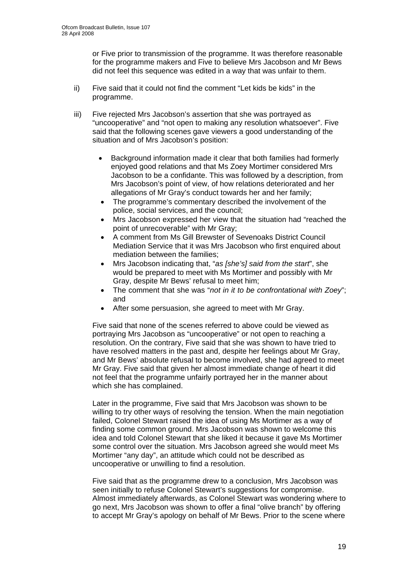or Five prior to transmission of the programme. It was therefore reasonable for the programme makers and Five to believe Mrs Jacobson and Mr Bews did not feel this sequence was edited in a way that was unfair to them.

- ii) Five said that it could not find the comment "Let kids be kids" in the programme.
- iii) Five rejected Mrs Jacobson's assertion that she was portrayed as "uncooperative" and "not open to making any resolution whatsoever". Five said that the following scenes gave viewers a good understanding of the situation and of Mrs Jacobson's position:
	- Background information made it clear that both families had formerly enjoyed good relations and that Ms Zoey Mortimer considered Mrs Jacobson to be a confidante. This was followed by a description, from Mrs Jacobson's point of view, of how relations deteriorated and her allegations of Mr Gray's conduct towards her and her family;
	- The programme's commentary described the involvement of the police, social services, and the council;
	- Mrs Jacobson expressed her view that the situation had "reached the point of unrecoverable" with Mr Gray;
	- A comment from Ms Gill Brewster of Sevenoaks District Council Mediation Service that it was Mrs Jacobson who first enquired about mediation between the families;
	- Mrs Jacobson indicating that, "*as [she's] said from the start*", she would be prepared to meet with Ms Mortimer and possibly with Mr Gray, despite Mr Bews' refusal to meet him;
	- The comment that she was "*not in it to be confrontational with Zoey*"; and
	- After some persuasion, she agreed to meet with Mr Gray.

Five said that none of the scenes referred to above could be viewed as portraying Mrs Jacobson as "uncooperative" or not open to reaching a resolution. On the contrary, Five said that she was shown to have tried to have resolved matters in the past and, despite her feelings about Mr Gray, and Mr Bews' absolute refusal to become involved, she had agreed to meet Mr Gray. Five said that given her almost immediate change of heart it did not feel that the programme unfairly portrayed her in the manner about which she has complained.

Later in the programme, Five said that Mrs Jacobson was shown to be willing to try other ways of resolving the tension. When the main negotiation failed, Colonel Stewart raised the idea of using Ms Mortimer as a way of finding some common ground. Mrs Jacobson was shown to welcome this idea and told Colonel Stewart that she liked it because it gave Ms Mortimer some control over the situation. Mrs Jacobson agreed she would meet Ms Mortimer "any day", an attitude which could not be described as uncooperative or unwilling to find a resolution.

Five said that as the programme drew to a conclusion, Mrs Jacobson was seen initially to refuse Colonel Stewart's suggestions for compromise. Almost immediately afterwards, as Colonel Stewart was wondering where to go next, Mrs Jacobson was shown to offer a final "olive branch" by offering to accept Mr Gray's apology on behalf of Mr Bews. Prior to the scene where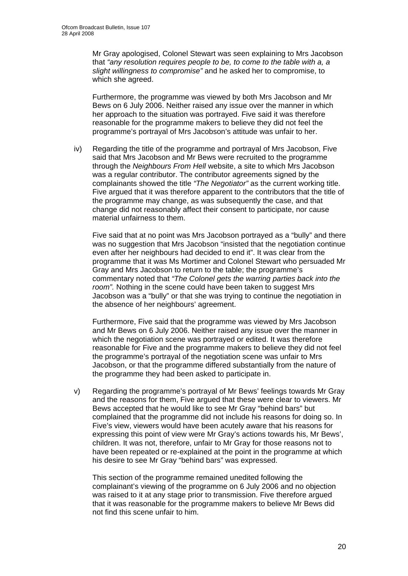Mr Gray apologised, Colonel Stewart was seen explaining to Mrs Jacobson that *"any resolution requires people to be, to come to the table with a, a slight willingness to compromise"* and he asked her to compromise, to which she agreed.

Furthermore, the programme was viewed by both Mrs Jacobson and Mr Bews on 6 July 2006. Neither raised any issue over the manner in which her approach to the situation was portrayed. Five said it was therefore reasonable for the programme makers to believe they did not feel the programme's portrayal of Mrs Jacobson's attitude was unfair to her.

iv) Regarding the title of the programme and portrayal of Mrs Jacobson, Five said that Mrs Jacobson and Mr Bews were recruited to the programme through the *Neighbours From Hell* website, a site to which Mrs Jacobson was a regular contributor. The contributor agreements signed by the complainants showed the title *"The Negotiator"* as the current working title. Five argued that it was therefore apparent to the contributors that the title of the programme may change, as was subsequently the case, and that change did not reasonably affect their consent to participate, nor cause material unfairness to them.

Five said that at no point was Mrs Jacobson portrayed as a "bully" and there was no suggestion that Mrs Jacobson "insisted that the negotiation continue even after her neighbours had decided to end it". It was clear from the programme that it was Ms Mortimer and Colonel Stewart who persuaded Mr Gray and Mrs Jacobson to return to the table; the programme's commentary noted that *"The Colonel gets the warring parties back into the room".* Nothing in the scene could have been taken to suggest Mrs Jacobson was a "bully" or that she was trying to continue the negotiation in the absence of her neighbours' agreement.

Furthermore, Five said that the programme was viewed by Mrs Jacobson and Mr Bews on 6 July 2006. Neither raised any issue over the manner in which the negotiation scene was portrayed or edited. It was therefore reasonable for Five and the programme makers to believe they did not feel the programme's portrayal of the negotiation scene was unfair to Mrs Jacobson, or that the programme differed substantially from the nature of the programme they had been asked to participate in.

v) Regarding the programme's portrayal of Mr Bews' feelings towards Mr Gray and the reasons for them, Five argued that these were clear to viewers. Mr Bews accepted that he would like to see Mr Gray "behind bars" but complained that the programme did not include his reasons for doing so. In Five's view, viewers would have been acutely aware that his reasons for expressing this point of view were Mr Gray's actions towards his, Mr Bews', children. It was not, therefore, unfair to Mr Gray for those reasons not to have been repeated or re-explained at the point in the programme at which his desire to see Mr Gray "behind bars" was expressed.

This section of the programme remained unedited following the complainant's viewing of the programme on 6 July 2006 and no objection was raised to it at any stage prior to transmission. Five therefore argued that it was reasonable for the programme makers to believe Mr Bews did not find this scene unfair to him.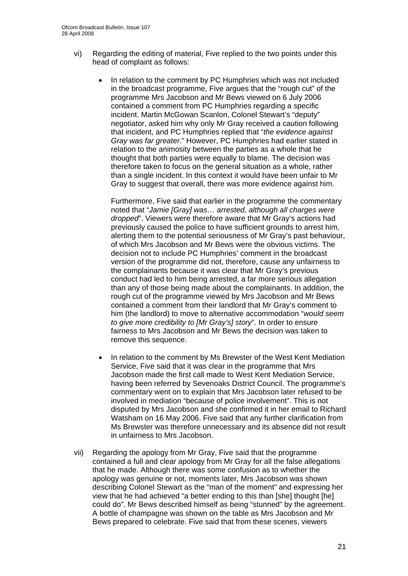- vi) Regarding the editing of material, Five replied to the two points under this head of complaint as follows:
	- In relation to the comment by PC Humphries which was not included in the broadcast programme, Five argues that the "rough cut" of the programme Mrs Jacobson and Mr Bews viewed on 6 July 2006 contained a comment from PC Humphries regarding a specific incident. Martin McGowan Scanlon, Colonel Stewart's "deputy" negotiator, asked him why only Mr Gray received a caution following that incident, and PC Humphries replied that "*the evidence against Gray was far greater*." However, PC Humphries had earlier stated in relation to the animosity between the parties as a whole that he thought that both parties were equally to blame. The decision was therefore taken to focus on the general situation as a whole, rather than a single incident. In this context it would have been unfair to Mr Gray to suggest that overall, there was more evidence against him.

Furthermore, Five said that earlier in the programme the commentary noted that "*Jamie [Gray] was… arrested, although all charges were dropped*". Viewers were therefore aware that Mr Gray's actions had previously caused the police to have sufficient grounds to arrest him, alerting them to the potential seriousness of Mr Gray's past behaviour, of which Mrs Jacobson and Mr Bews were the obvious victims. The decision not to include PC Humphries' comment in the broadcast version of the programme did not, therefore, cause any unfairness to the complainants because it was clear that Mr Gray's previous conduct had led to him being arrested, a far more serious allegation than any of those being made about the complainants. In addition, the rough cut of the programme viewed by Mrs Jacobson and Mr Bews contained a comment from their landlord that Mr Gray's comment to him (the landlord) to move to alternative accommodation "*would seem to give more credibility to [Mr Gray's] story*". In order to ensure fairness to Mrs Jacobson and Mr Bews the decision was taken to remove this sequence.

- In relation to the comment by Ms Brewster of the West Kent Mediation Service, Five said that it was clear in the programme that Mrs Jacobson made the first call made to West Kent Mediation Service, having been referred by Sevenoaks District Council. The programme's commentary went on to explain that Mrs Jacobson later refused to be involved in mediation "because of police involvement". This is not disputed by Mrs Jacobson and she confirmed it in her email to Richard Watsham on 16 May 2006. Five said that any further clarification from Ms Brewster was therefore unnecessary and its absence did not result in unfairness to Mrs Jacobson.
- vii) Regarding the apology from Mr Gray, Five said that the programme contained a full and clear apology from Mr Gray for all the false allegations that he made. Although there was some confusion as to whether the apology was genuine or not, moments later, Mrs Jacobson was shown describing Colonel Stewart as the "man of the moment" and expressing her view that he had achieved "a better ending to this than [she] thought [he] could do". Mr Bews described himself as being "stunned" by the agreement. A bottle of champagne was shown on the table as Mrs Jacobson and Mr Bews prepared to celebrate. Five said that from these scenes, viewers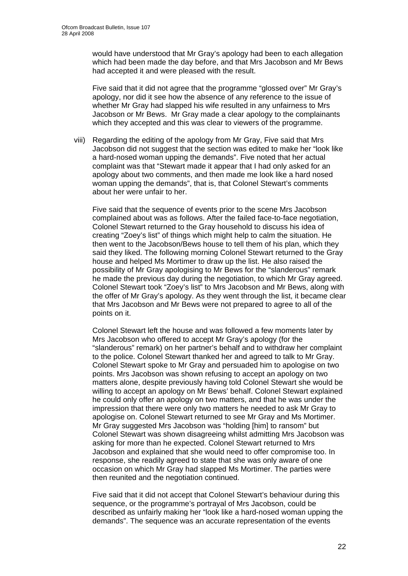would have understood that Mr Gray's apology had been to each allegation which had been made the day before, and that Mrs Jacobson and Mr Bews had accepted it and were pleased with the result.

Five said that it did not agree that the programme "glossed over" Mr Gray's apology, nor did it see how the absence of any reference to the issue of whether Mr Gray had slapped his wife resulted in any unfairness to Mrs Jacobson or Mr Bews. Mr Gray made a clear apology to the complainants which they accepted and this was clear to viewers of the programme.

viii) Regarding the editing of the apology from Mr Gray, Five said that Mrs Jacobson did not suggest that the section was edited to make her "look like a hard-nosed woman upping the demands". Five noted that her actual complaint was that "Stewart made it appear that I had only asked for an apology about two comments, and then made me look like a hard nosed woman upping the demands", that is, that Colonel Stewart's comments about her were unfair to her.

Five said that the sequence of events prior to the scene Mrs Jacobson complained about was as follows. After the failed face-to-face negotiation, Colonel Stewart returned to the Gray household to discuss his idea of creating "Zoey's list" of things which might help to calm the situation. He then went to the Jacobson/Bews house to tell them of his plan, which they said they liked. The following morning Colonel Stewart returned to the Gray house and helped Ms Mortimer to draw up the list. He also raised the possibility of Mr Gray apologising to Mr Bews for the "slanderous" remark he made the previous day during the negotiation, to which Mr Gray agreed. Colonel Stewart took "Zoey's list" to Mrs Jacobson and Mr Bews, along with the offer of Mr Gray's apology. As they went through the list, it became clear that Mrs Jacobson and Mr Bews were not prepared to agree to all of the points on it.

Colonel Stewart left the house and was followed a few moments later by Mrs Jacobson who offered to accept Mr Gray's apology (for the "slanderous" remark) on her partner's behalf and to withdraw her complaint to the police. Colonel Stewart thanked her and agreed to talk to Mr Gray. Colonel Stewart spoke to Mr Gray and persuaded him to apologise on two points. Mrs Jacobson was shown refusing to accept an apology on two matters alone, despite previously having told Colonel Stewart she would be willing to accept an apology on Mr Bews' behalf. Colonel Stewart explained he could only offer an apology on two matters, and that he was under the impression that there were only two matters he needed to ask Mr Gray to apologise on. Colonel Stewart returned to see Mr Gray and Ms Mortimer. Mr Gray suggested Mrs Jacobson was "holding [him] to ransom" but Colonel Stewart was shown disagreeing whilst admitting Mrs Jacobson was asking for more than he expected. Colonel Stewart returned to Mrs Jacobson and explained that she would need to offer compromise too. In response, she readily agreed to state that she was only aware of one occasion on which Mr Gray had slapped Ms Mortimer. The parties were then reunited and the negotiation continued.

Five said that it did not accept that Colonel Stewart's behaviour during this sequence, or the programme's portrayal of Mrs Jacobson, could be described as unfairly making her "look like a hard-nosed woman upping the demands". The sequence was an accurate representation of the events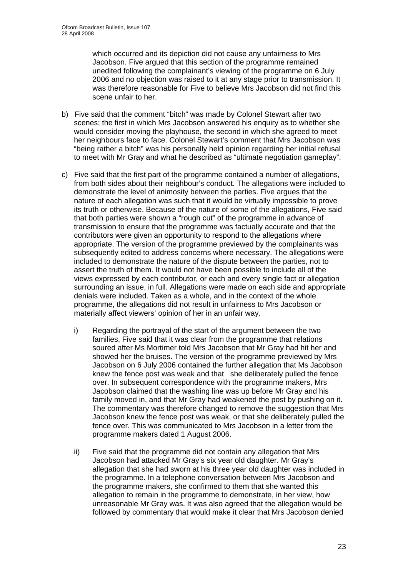which occurred and its depiction did not cause any unfairness to Mrs Jacobson. Five argued that this section of the programme remained unedited following the complainant's viewing of the programme on 6 July 2006 and no objection was raised to it at any stage prior to transmission. It was therefore reasonable for Five to believe Mrs Jacobson did not find this scene unfair to her.

- b) Five said that the comment "bitch" was made by Colonel Stewart after two scenes; the first in which Mrs Jacobson answered his enquiry as to whether she would consider moving the playhouse, the second in which she agreed to meet her neighbours face to face. Colonel Stewart's comment that Mrs Jacobson was "being rather a bitch" was his personally held opinion regarding her initial refusal to meet with Mr Gray and what he described as "ultimate negotiation gameplay".
- c) Five said that the first part of the programme contained a number of allegations, from both sides about their neighbour's conduct. The allegations were included to demonstrate the level of animosity between the parties. Five argues that the nature of each allegation was such that it would be virtually impossible to prove its truth or otherwise. Because of the nature of some of the allegations, Five said that both parties were shown a "rough cut" of the programme in advance of transmission to ensure that the programme was factually accurate and that the contributors were given an opportunity to respond to the allegations where appropriate. The version of the programme previewed by the complainants was subsequently edited to address concerns where necessary. The allegations were included to demonstrate the nature of the dispute between the parties, not to assert the truth of them. It would not have been possible to include all of the views expressed by each contributor, or each and every single fact or allegation surrounding an issue, in full. Allegations were made on each side and appropriate denials were included. Taken as a whole, and in the context of the whole programme, the allegations did not result in unfairness to Mrs Jacobson or materially affect viewers' opinion of her in an unfair way.
	- i) Regarding the portrayal of the start of the argument between the two families, Five said that it was clear from the programme that relations soured after Ms Mortimer told Mrs Jacobson that Mr Gray had hit her and showed her the bruises. The version of the programme previewed by Mrs Jacobson on 6 July 2006 contained the further allegation that Ms Jacobson knew the fence post was weak and that she deliberately pulled the fence over. In subsequent correspondence with the programme makers, Mrs Jacobson claimed that the washing line was up before Mr Gray and his family moved in, and that Mr Gray had weakened the post by pushing on it. The commentary was therefore changed to remove the suggestion that Mrs Jacobson knew the fence post was weak, or that she deliberately pulled the fence over. This was communicated to Mrs Jacobson in a letter from the programme makers dated 1 August 2006.
	- ii) Five said that the programme did not contain any allegation that Mrs Jacobson had attacked Mr Gray's six year old daughter. Mr Gray's allegation that she had sworn at his three year old daughter was included in the programme. In a telephone conversation between Mrs Jacobson and the programme makers, she confirmed to them that she wanted this allegation to remain in the programme to demonstrate, in her view, how unreasonable Mr Gray was. It was also agreed that the allegation would be followed by commentary that would make it clear that Mrs Jacobson denied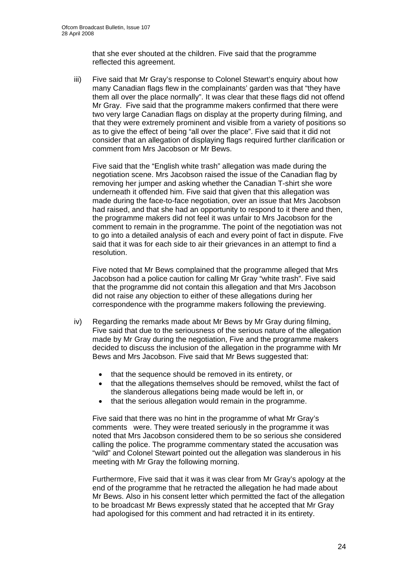that she ever shouted at the children. Five said that the programme reflected this agreement.

iii) Five said that Mr Gray's response to Colonel Stewart's enquiry about how many Canadian flags flew in the complainants' garden was that "they have them all over the place normally". It was clear that these flags did not offend Mr Gray. Five said that the programme makers confirmed that there were two very large Canadian flags on display at the property during filming, and that they were extremely prominent and visible from a variety of positions so as to give the effect of being "all over the place". Five said that it did not consider that an allegation of displaying flags required further clarification or comment from Mrs Jacobson or Mr Bews.

Five said that the "English white trash" allegation was made during the negotiation scene. Mrs Jacobson raised the issue of the Canadian flag by removing her jumper and asking whether the Canadian T-shirt she wore underneath it offended him. Five said that given that this allegation was made during the face-to-face negotiation, over an issue that Mrs Jacobson had raised, and that she had an opportunity to respond to it there and then, the programme makers did not feel it was unfair to Mrs Jacobson for the comment to remain in the programme. The point of the negotiation was not to go into a detailed analysis of each and every point of fact in dispute. Five said that it was for each side to air their grievances in an attempt to find a resolution.

Five noted that Mr Bews complained that the programme alleged that Mrs Jacobson had a police caution for calling Mr Gray "white trash". Five said that the programme did not contain this allegation and that Mrs Jacobson did not raise any objection to either of these allegations during her correspondence with the programme makers following the previewing.

- iv) Regarding the remarks made about Mr Bews by Mr Gray during filming, Five said that due to the seriousness of the serious nature of the allegation made by Mr Gray during the negotiation, Five and the programme makers decided to discuss the inclusion of the allegation in the programme with Mr Bews and Mrs Jacobson. Five said that Mr Bews suggested that:
	- that the sequence should be removed in its entirety, or
	- that the allegations themselves should be removed, whilst the fact of the slanderous allegations being made would be left in, or
	- that the serious allegation would remain in the programme.

Five said that there was no hint in the programme of what Mr Gray's comments were. They were treated seriously in the programme it was noted that Mrs Jacobson considered them to be so serious she considered calling the police. The programme commentary stated the accusation was "wild" and Colonel Stewart pointed out the allegation was slanderous in his meeting with Mr Gray the following morning.

Furthermore, Five said that it was it was clear from Mr Gray's apology at the end of the programme that he retracted the allegation he had made about Mr Bews. Also in his consent letter which permitted the fact of the allegation to be broadcast Mr Bews expressly stated that he accepted that Mr Gray had apologised for this comment and had retracted it in its entirety.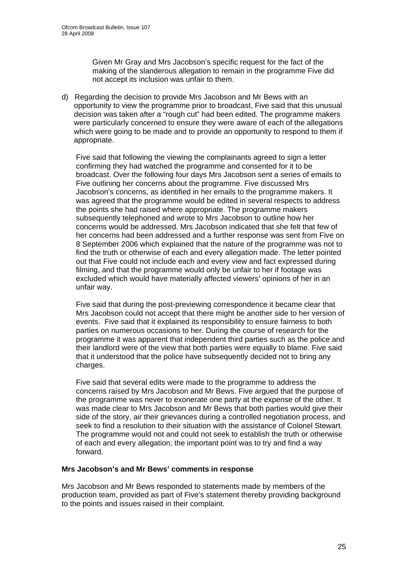Given Mr Gray and Mrs Jacobson's specific request for the fact of the making of the slanderous allegation to remain in the programme Five did not accept its inclusion was unfair to them.

d) Regarding the decision to provide Mrs Jacobson and Mr Bews with an opportunity to view the programme prior to broadcast, Five said that this unusual decision was taken after a "rough cut" had been edited. The programme makers were particularly concerned to ensure they were aware of each of the allegations which were going to be made and to provide an opportunity to respond to them if appropriate.

Five said that following the viewing the complainants agreed to sign a letter confirming they had watched the programme and consented for it to be broadcast. Over the following four days Mrs Jacobson sent a series of emails to Five outlining her concerns about the programme. Five discussed Mrs Jacobson's concerns, as identified in her emails to the programme makers. It was agreed that the programme would be edited in several respects to address the points she had raised where appropriate. The programme makers subsequently telephoned and wrote to Mrs Jacobson to outline how her concerns would be addressed. Mrs Jacobson indicated that she felt that few of her concerns had been addressed and a further response was sent from Five on 8 September 2006 which explained that the nature of the programme was not to find the truth or otherwise of each and every allegation made. The letter pointed out that Five could not include each and every view and fact expressed during filming, and that the programme would only be unfair to her if footage was excluded which would have materially affected viewers' opinions of her in an unfair way.

Five said that during the post-previewing correspondence it became clear that Mrs Jacobson could not accept that there might be another side to her version of events. Five said that it explained its responsibility to ensure fairness to both parties on numerous occasions to her. During the course of research for the programme it was apparent that independent third parties such as the police and their landlord were of the view that both parties were equally to blame. Five said that it understood that the police have subsequently decided not to bring any charges.

Five said that several edits were made to the programme to address the concerns raised by Mrs Jacobson and Mr Bews. Five argued that the purpose of the programme was never to exonerate one party at the expense of the other. It was made clear to Mrs Jacobson and Mr Bews that both parties would give their side of the story, air their grievances during a controlled negotiation process, and seek to find a resolution to their situation with the assistance of Colonel Stewart. The programme would not and could not seek to establish the truth or otherwise of each and every allegation; the important point was to try and find a way forward.

#### **Mrs Jacobson's and Mr Bews' comments in response**

Mrs Jacobson and Mr Bews responded to statements made by members of the production team, provided as part of Five's statement thereby providing background to the points and issues raised in their complaint.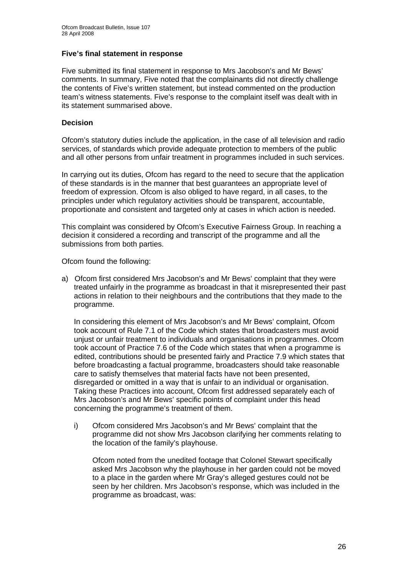#### **Five's final statement in response**

Five submitted its final statement in response to Mrs Jacobson's and Mr Bews' comments. In summary, Five noted that the complainants did not directly challenge the contents of Five's written statement, but instead commented on the production team's witness statements. Five's response to the complaint itself was dealt with in its statement summarised above.

#### **Decision**

Ofcom's statutory duties include the application, in the case of all television and radio services, of standards which provide adequate protection to members of the public and all other persons from unfair treatment in programmes included in such services.

In carrying out its duties, Ofcom has regard to the need to secure that the application of these standards is in the manner that best guarantees an appropriate level of freedom of expression. Ofcom is also obliged to have regard, in all cases, to the principles under which regulatory activities should be transparent, accountable, proportionate and consistent and targeted only at cases in which action is needed.

This complaint was considered by Ofcom's Executive Fairness Group. In reaching a decision it considered a recording and transcript of the programme and all the submissions from both parties.

Ofcom found the following:

a) Ofcom first considered Mrs Jacobson's and Mr Bews' complaint that they were treated unfairly in the programme as broadcast in that it misrepresented their past actions in relation to their neighbours and the contributions that they made to the programme.

In considering this element of Mrs Jacobson's and Mr Bews' complaint, Ofcom took account of Rule 7.1 of the Code which states that broadcasters must avoid unjust or unfair treatment to individuals and organisations in programmes. Ofcom took account of Practice 7.6 of the Code which states that when a programme is edited, contributions should be presented fairly and Practice 7.9 which states that before broadcasting a factual programme, broadcasters should take reasonable care to satisfy themselves that material facts have not been presented, disregarded or omitted in a way that is unfair to an individual or organisation. Taking these Practices into account, Ofcom first addressed separately each of Mrs Jacobson's and Mr Bews' specific points of complaint under this head concerning the programme's treatment of them.

i) Ofcom considered Mrs Jacobson's and Mr Bews' complaint that the programme did not show Mrs Jacobson clarifying her comments relating to the location of the family's playhouse.

Ofcom noted from the unedited footage that Colonel Stewart specifically asked Mrs Jacobson why the playhouse in her garden could not be moved to a place in the garden where Mr Gray's alleged gestures could not be seen by her children. Mrs Jacobson's response, which was included in the programme as broadcast, was: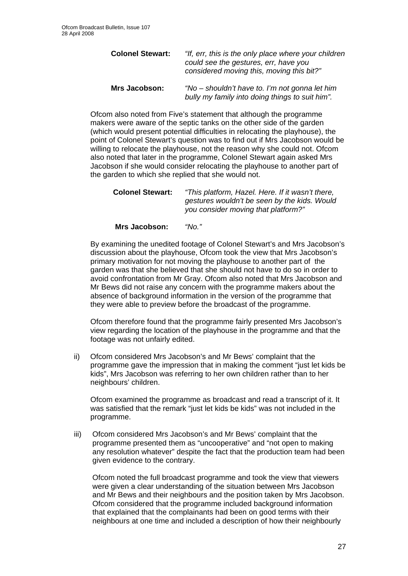| <b>Colonel Stewart:</b> | "If, err, this is the only place where your children<br>could see the gestures, err, have you<br>considered moving this, moving this bit?" |  |  |
|-------------------------|--------------------------------------------------------------------------------------------------------------------------------------------|--|--|
| <b>Mrs Jacobson:</b>    | "No – shouldn't have to. I'm not gonna let him<br>bully my family into doing things to suit him".                                          |  |  |

Ofcom also noted from Five's statement that although the programme makers were aware of the septic tanks on the other side of the garden (which would present potential difficulties in relocating the playhouse), the point of Colonel Stewart's question was to find out if Mrs Jacobson would be willing to relocate the playhouse, not the reason why she could not. Ofcom also noted that later in the programme, Colonel Stewart again asked Mrs Jacobson if she would consider relocating the playhouse to another part of the garden to which she replied that she would not.

| <b>Colonel Stewart:</b> | "This platform, Hazel. Here. If it wasn't there, |  |  |  |
|-------------------------|--------------------------------------------------|--|--|--|
|                         | gestures wouldn't be seen by the kids. Would     |  |  |  |
|                         | you consider moving that platform?"              |  |  |  |

**Mrs Jacobson:** *"No."*

By examining the unedited footage of Colonel Stewart's and Mrs Jacobson's discussion about the playhouse, Ofcom took the view that Mrs Jacobson's primary motivation for not moving the playhouse to another part of the garden was that she believed that she should not have to do so in order to avoid confrontation from Mr Gray. Ofcom also noted that Mrs Jacobson and Mr Bews did not raise any concern with the programme makers about the absence of background information in the version of the programme that they were able to preview before the broadcast of the programme.

Ofcom therefore found that the programme fairly presented Mrs Jacobson's view regarding the location of the playhouse in the programme and that the footage was not unfairly edited.

ii) Ofcom considered Mrs Jacobson's and Mr Bews' complaint that the programme gave the impression that in making the comment "just let kids be kids", Mrs Jacobson was referring to her own children rather than to her neighbours' children.

Ofcom examined the programme as broadcast and read a transcript of it. It was satisfied that the remark "just let kids be kids" was not included in the programme.

iii) Ofcom considered Mrs Jacobson's and Mr Bews' complaint that the programme presented them as "uncooperative" and "not open to making any resolution whatever" despite the fact that the production team had been given evidence to the contrary.

 Ofcom noted the full broadcast programme and took the view that viewers were given a clear understanding of the situation between Mrs Jacobson and Mr Bews and their neighbours and the position taken by Mrs Jacobson. Ofcom considered that the programme included background information that explained that the complainants had been on good terms with their neighbours at one time and included a description of how their neighbourly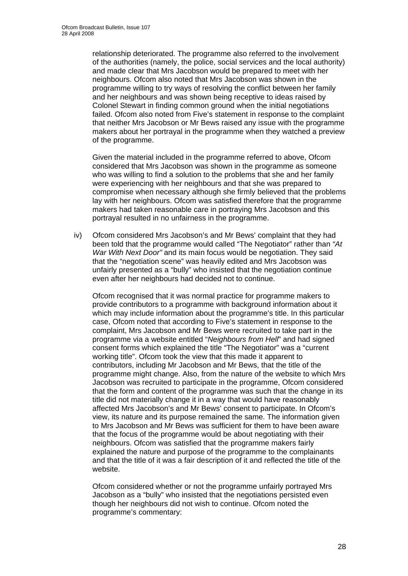relationship deteriorated. The programme also referred to the involvement of the authorities (namely, the police, social services and the local authority) and made clear that Mrs Jacobson would be prepared to meet with her neighbours. Ofcom also noted that Mrs Jacobson was shown in the programme willing to try ways of resolving the conflict between her family and her neighbours and was shown being receptive to ideas raised by Colonel Stewart in finding common ground when the initial negotiations failed. Ofcom also noted from Five's statement in response to the complaint that neither Mrs Jacobson or Mr Bews raised any issue with the programme makers about her portrayal in the programme when they watched a preview of the programme.

Given the material included in the programme referred to above, Ofcom considered that Mrs Jacobson was shown in the programme as someone who was willing to find a solution to the problems that she and her family were experiencing with her neighbours and that she was prepared to compromise when necessary although she firmly believed that the problems lay with her neighbours. Ofcom was satisfied therefore that the programme makers had taken reasonable care in portraying Mrs Jacobson and this portrayal resulted in no unfairness in the programme.

iv) Ofcom considered Mrs Jacobson's and Mr Bews' complaint that they had been told that the programme would called "The Negotiator" rather than *"At War With Next Door"* and its main focus would be negotiation. They said that the "negotiation scene" was heavily edited and Mrs Jacobson was unfairly presented as a "bully" who insisted that the negotiation continue even after her neighbours had decided not to continue.

 Ofcom recognised that it was normal practice for programme makers to provide contributors to a programme with background information about it which may include information about the programme's title. In this particular case, Ofcom noted that according to Five's statement in response to the complaint, Mrs Jacobson and Mr Bews were recruited to take part in the programme via a website entitled "*Neighbours from Hell*" and had signed consent forms which explained the title "The Negotiator" was a "current working title". Ofcom took the view that this made it apparent to contributors, including Mr Jacobson and Mr Bews, that the title of the programme might change. Also, from the nature of the website to which Mrs Jacobson was recruited to participate in the programme, Ofcom considered that the form and content of the programme was such that the change in its title did not materially change it in a way that would have reasonably affected Mrs Jacobson's and Mr Bews' consent to participate. In Ofcom's view, its nature and its purpose remained the same. The information given to Mrs Jacobson and Mr Bews was sufficient for them to have been aware that the focus of the programme would be about negotiating with their neighbours. Ofcom was satisfied that the programme makers fairly explained the nature and purpose of the programme to the complainants and that the title of it was a fair description of it and reflected the title of the website.

 Ofcom considered whether or not the programme unfairly portrayed Mrs Jacobson as a "bully" who insisted that the negotiations persisted even though her neighbours did not wish to continue. Ofcom noted the programme's commentary: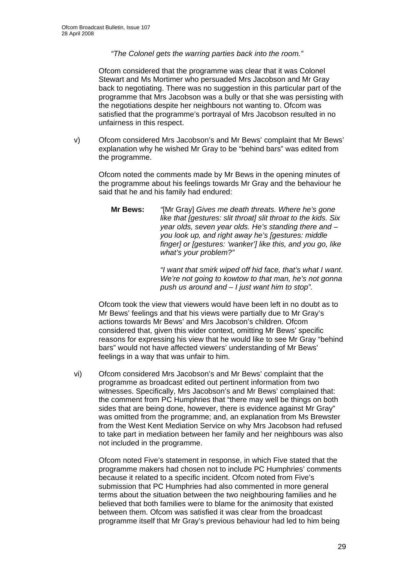#### *"The Colonel gets the warring parties back into the room."*

Ofcom considered that the programme was clear that it was Colonel Stewart and Ms Mortimer who persuaded Mrs Jacobson and Mr Gray back to negotiating. There was no suggestion in this particular part of the programme that Mrs Jacobson was a bully or that she was persisting with the negotiations despite her neighbours not wanting to. Ofcom was satisfied that the programme's portrayal of Mrs Jacobson resulted in no unfairness in this respect.

v) Ofcom considered Mrs Jacobson's and Mr Bews' complaint that Mr Bews' explanation why he wished Mr Gray to be "behind bars" was edited from the programme.

Ofcom noted the comments made by Mr Bews in the opening minutes of the programme about his feelings towards Mr Gray and the behaviour he said that he and his family had endured:

**Mr Bews:** *"*[Mr Gray] *Gives me death threats. Where he's gone like that [gestures: slit throat] slit throat to the kids. Six year olds, seven year olds. He's standing there and – you look up, and right away he's [gestures: middle finger] or [gestures: 'wanker'] like this, and you go, like what's your problem?"* 

> *"I want that smirk wiped off hid face, that's what I want. We're not going to kowtow to that man, he's not gonna push us around and – I just want him to stop".*

Ofcom took the view that viewers would have been left in no doubt as to Mr Bews' feelings and that his views were partially due to Mr Gray's actions towards Mr Bews' and Mrs Jacobson's children. Ofcom considered that, given this wider context, omitting Mr Bews' specific reasons for expressing his view that he would like to see Mr Gray "behind bars" would not have affected viewers' understanding of Mr Bews' feelings in a way that was unfair to him.

vi) Ofcom considered Mrs Jacobson's and Mr Bews' complaint that the programme as broadcast edited out pertinent information from two witnesses. Specifically, Mrs Jacobson's and Mr Bews' complained that: the comment from PC Humphries that "there may well be things on both sides that are being done, however, there is evidence against Mr Gray" was omitted from the programme; and, an explanation from Ms Brewster from the West Kent Mediation Service on why Mrs Jacobson had refused to take part in mediation between her family and her neighbours was also not included in the programme.

Ofcom noted Five's statement in response, in which Five stated that the programme makers had chosen not to include PC Humphries' comments because it related to a specific incident. Ofcom noted from Five's submission that PC Humphries had also commented in more general terms about the situation between the two neighbouring families and he believed that both families were to blame for the animosity that existed between them. Ofcom was satisfied it was clear from the broadcast programme itself that Mr Gray's previous behaviour had led to him being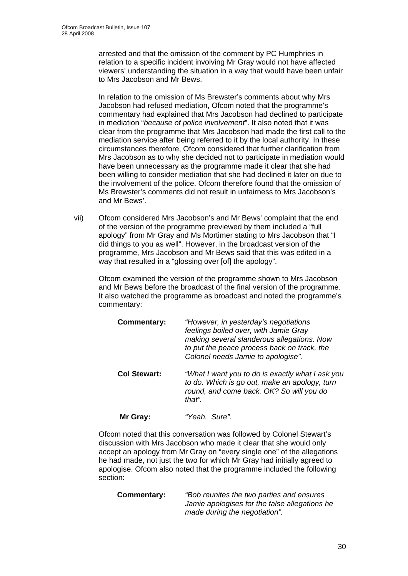arrested and that the omission of the comment by PC Humphries in relation to a specific incident involving Mr Gray would not have affected viewers' understanding the situation in a way that would have been unfair to Mrs Jacobson and Mr Bews.

In relation to the omission of Ms Brewster's comments about why Mrs Jacobson had refused mediation, Ofcom noted that the programme's commentary had explained that Mrs Jacobson had declined to participate in mediation "*because of police involvement*". It also noted that it was clear from the programme that Mrs Jacobson had made the first call to the mediation service after being referred to it by the local authority. In these circumstances therefore, Ofcom considered that further clarification from Mrs Jacobson as to why she decided not to participate in mediation would have been unnecessary as the programme made it clear that she had been willing to consider mediation that she had declined it later on due to the involvement of the police. Ofcom therefore found that the omission of Ms Brewster's comments did not result in unfairness to Mrs Jacobson's and Mr Bews'.

vii) Ofcom considered Mrs Jacobson's and Mr Bews' complaint that the end of the version of the programme previewed by them included a "full apology" from Mr Gray and Ms Mortimer stating to Mrs Jacobson that "I did things to you as well". However, in the broadcast version of the programme, Mrs Jacobson and Mr Bews said that this was edited in a way that resulted in a "glossing over [of] the apology".

Ofcom examined the version of the programme shown to Mrs Jacobson and Mr Bews before the broadcast of the final version of the programme. It also watched the programme as broadcast and noted the programme's commentary:

| <b>Commentary:</b> | "However, in yesterday's negotiations<br>feelings boiled over, with Jamie Gray<br>making several slanderous allegations. Now<br>to put the peace process back on track, the<br>Colonel needs Jamie to apologise". |  |  |
|--------------------|-------------------------------------------------------------------------------------------------------------------------------------------------------------------------------------------------------------------|--|--|
| Col Stewart:       | "What I want you to do is exactly what I ask you<br>to do. Which is go out, make an apology, turn<br>round, and come back. OK? So will you do<br>that".                                                           |  |  |
| Mr Gray:           | "Yeah. Sure".                                                                                                                                                                                                     |  |  |

Ofcom noted that this conversation was followed by Colonel Stewart's discussion with Mrs Jacobson who made it clear that she would only accept an apology from Mr Gray on "every single one" of the allegations he had made, not just the two for which Mr Gray had initially agreed to apologise. Ofcom also noted that the programme included the following section:

| Commentary: | "Bob reunites the two parties and ensures"    |  |  |
|-------------|-----------------------------------------------|--|--|
|             | Jamie apologises for the false allegations he |  |  |
|             | made during the negotiation".                 |  |  |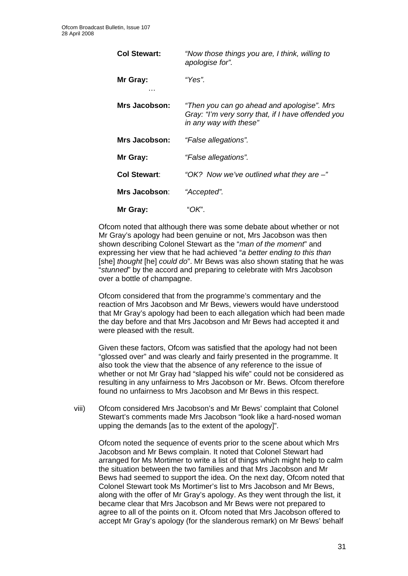| <b>Col Stewart:</b> | "Now those things you are, I think, willing to<br>apologise for".                                                          |
|---------------------|----------------------------------------------------------------------------------------------------------------------------|
| Mr Gray:            | "Yes".                                                                                                                     |
| Mrs Jacobson:       | "Then you can go ahead and apologise". Mrs<br>Gray: "I'm very sorry that, if I have offended you<br>in any way with these" |
| Mrs Jacobson:       | "False allegations".                                                                                                       |
| Mr Gray:            | "False allegations".                                                                                                       |
| <b>Col Stewart:</b> | "OK? Now we've outlined what they are -"                                                                                   |
| Mrs Jacobson:       | "Accepted".                                                                                                                |
| Mr Gray:            | "OK".                                                                                                                      |

Ofcom noted that although there was some debate about whether or not Mr Gray's apology had been genuine or not, Mrs Jacobson was then shown describing Colonel Stewart as the "*man of the moment*" and expressing her view that he had achieved "*a better ending to this than*  [she] *thought* [he] *could do*". Mr Bews was also shown stating that he was "*stunned*" by the accord and preparing to celebrate with Mrs Jacobson over a bottle of champagne.

Ofcom considered that from the programme's commentary and the reaction of Mrs Jacobson and Mr Bews, viewers would have understood that Mr Gray's apology had been to each allegation which had been made the day before and that Mrs Jacobson and Mr Bews had accepted it and were pleased with the result.

Given these factors, Ofcom was satisfied that the apology had not been "glossed over" and was clearly and fairly presented in the programme. It also took the view that the absence of any reference to the issue of whether or not Mr Gray had "slapped his wife" could not be considered as resulting in any unfairness to Mrs Jacobson or Mr. Bews. Ofcom therefore found no unfairness to Mrs Jacobson and Mr Bews in this respect.

viii) Ofcom considered Mrs Jacobson's and Mr Bews' complaint that Colonel Stewart's comments made Mrs Jacobson "look like a hard-nosed woman upping the demands [as to the extent of the apology]".

Ofcom noted the sequence of events prior to the scene about which Mrs Jacobson and Mr Bews complain. It noted that Colonel Stewart had arranged for Ms Mortimer to write a list of things which might help to calm the situation between the two families and that Mrs Jacobson and Mr Bews had seemed to support the idea. On the next day, Ofcom noted that Colonel Stewart took Ms Mortimer's list to Mrs Jacobson and Mr Bews, along with the offer of Mr Gray's apology. As they went through the list, it became clear that Mrs Jacobson and Mr Bews were not prepared to agree to all of the points on it. Ofcom noted that Mrs Jacobson offered to accept Mr Gray's apology (for the slanderous remark) on Mr Bews' behalf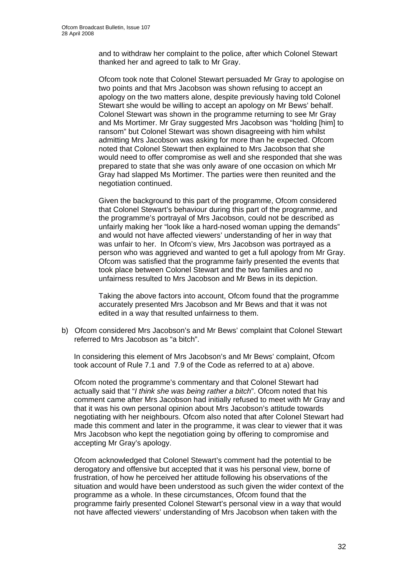and to withdraw her complaint to the police, after which Colonel Stewart thanked her and agreed to talk to Mr Gray.

Ofcom took note that Colonel Stewart persuaded Mr Gray to apologise on two points and that Mrs Jacobson was shown refusing to accept an apology on the two matters alone, despite previously having told Colonel Stewart she would be willing to accept an apology on Mr Bews' behalf. Colonel Stewart was shown in the programme returning to see Mr Gray and Ms Mortimer. Mr Gray suggested Mrs Jacobson was "holding [him] to ransom" but Colonel Stewart was shown disagreeing with him whilst admitting Mrs Jacobson was asking for more than he expected. Ofcom noted that Colonel Stewart then explained to Mrs Jacobson that she would need to offer compromise as well and she responded that she was prepared to state that she was only aware of one occasion on which Mr Gray had slapped Ms Mortimer. The parties were then reunited and the negotiation continued.

Given the background to this part of the programme, Ofcom considered that Colonel Stewart's behaviour during this part of the programme, and the programme's portrayal of Mrs Jacobson, could not be described as unfairly making her "look like a hard-nosed woman upping the demands" and would not have affected viewers' understanding of her in way that was unfair to her. In Ofcom's view, Mrs Jacobson was portrayed as a person who was aggrieved and wanted to get a full apology from Mr Gray. Ofcom was satisfied that the programme fairly presented the events that took place between Colonel Stewart and the two families and no unfairness resulted to Mrs Jacobson and Mr Bews in its depiction.

Taking the above factors into account, Ofcom found that the programme accurately presented Mrs Jacobson and Mr Bews and that it was not edited in a way that resulted unfairness to them.

b) Ofcom considered Mrs Jacobson's and Mr Bews' complaint that Colonel Stewart referred to Mrs Jacobson as "a bitch".

In considering this element of Mrs Jacobson's and Mr Bews' complaint, Ofcom took account of Rule 7.1 and 7.9 of the Code as referred to at a) above.

Ofcom noted the programme's commentary and that Colonel Stewart had actually said that "*I think she was being rather a bitch*". Ofcom noted that his comment came after Mrs Jacobson had initially refused to meet with Mr Gray and that it was his own personal opinion about Mrs Jacobson's attitude towards negotiating with her neighbours. Ofcom also noted that after Colonel Stewart had made this comment and later in the programme, it was clear to viewer that it was Mrs Jacobson who kept the negotiation going by offering to compromise and accepting Mr Gray's apology.

Ofcom acknowledged that Colonel Stewart's comment had the potential to be derogatory and offensive but accepted that it was his personal view, borne of frustration, of how he perceived her attitude following his observations of the situation and would have been understood as such given the wider context of the programme as a whole. In these circumstances, Ofcom found that the programme fairly presented Colonel Stewart's personal view in a way that would not have affected viewers' understanding of Mrs Jacobson when taken with the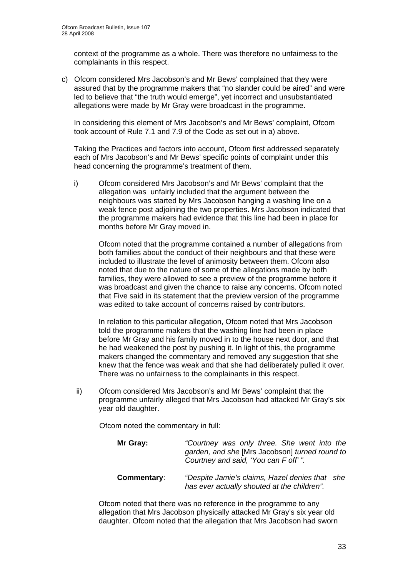context of the programme as a whole. There was therefore no unfairness to the complainants in this respect.

c) Ofcom considered Mrs Jacobson's and Mr Bews' complained that they were assured that by the programme makers that "no slander could be aired" and were led to believe that "the truth would emerge", yet incorrect and unsubstantiated allegations were made by Mr Gray were broadcast in the programme.

 In considering this element of Mrs Jacobson's and Mr Bews' complaint, Ofcom took account of Rule 7.1 and 7.9 of the Code as set out in a) above.

 Taking the Practices and factors into account, Ofcom first addressed separately each of Mrs Jacobson's and Mr Bews' specific points of complaint under this head concerning the programme's treatment of them.

i) Ofcom considered Mrs Jacobson's and Mr Bews' complaint that the allegation was unfairly included that the argument between the neighbours was started by Mrs Jacobson hanging a washing line on a weak fence post adjoining the two properties. Mrs Jacobson indicated that the programme makers had evidence that this line had been in place for months before Mr Gray moved in.

Ofcom noted that the programme contained a number of allegations from both families about the conduct of their neighbours and that these were included to illustrate the level of animosity between them. Ofcom also noted that due to the nature of some of the allegations made by both families, they were allowed to see a preview of the programme before it was broadcast and given the chance to raise any concerns. Ofcom noted that Five said in its statement that the preview version of the programme was edited to take account of concerns raised by contributors.

In relation to this particular allegation, Ofcom noted that Mrs Jacobson told the programme makers that the washing line had been in place before Mr Gray and his family moved in to the house next door, and that he had weakened the post by pushing it. In light of this, the programme makers changed the commentary and removed any suggestion that she knew that the fence was weak and that she had deliberately pulled it over. There was no unfairness to the complainants in this respect.

 ii) Ofcom considered Mrs Jacobson's and Mr Bews' complaint that the programme unfairly alleged that Mrs Jacobson had attacked Mr Gray's six year old daughter.

Ofcom noted the commentary in full:

| Mr Gray:    | "Courtney was only three. She went into the<br>garden, and she [Mrs Jacobson] turned round to<br>Courtney and said, 'You can F off'". |
|-------------|---------------------------------------------------------------------------------------------------------------------------------------|
| Commentary: | "Despite Jamie's claims, Hazel denies that she<br>has ever actually shouted at the children".                                         |

Ofcom noted that there was no reference in the programme to any allegation that Mrs Jacobson physically attacked Mr Gray's six year old daughter. Ofcom noted that the allegation that Mrs Jacobson had sworn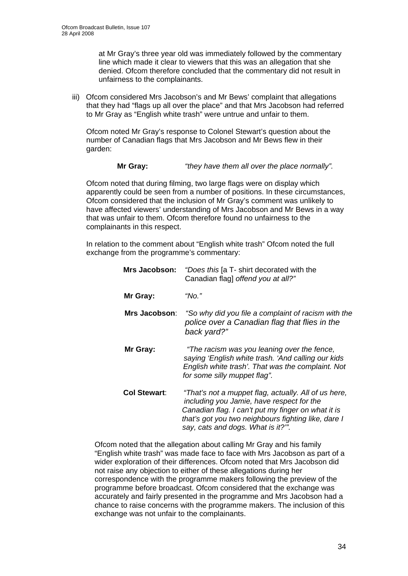at Mr Gray's three year old was immediately followed by the commentary line which made it clear to viewers that this was an allegation that she denied. Ofcom therefore concluded that the commentary did not result in unfairness to the complainants.

 iii) Ofcom considered Mrs Jacobson's and Mr Bews' complaint that allegations that they had "flags up all over the place" and that Mrs Jacobson had referred to Mr Gray as "English white trash" were untrue and unfair to them.

Ofcom noted Mr Gray's response to Colonel Stewart's question about the number of Canadian flags that Mrs Jacobson and Mr Bews flew in their garden:

#### **Mr Gray:** *"they have them all over the place normally".*

Ofcom noted that during filming, two large flags were on display which apparently could be seen from a number of positions. In these circumstances, Ofcom considered that the inclusion of Mr Gray's comment was unlikely to have affected viewers' understanding of Mrs Jacobson and Mr Bews in a way that was unfair to them. Ofcom therefore found no unfairness to the complainants in this respect.

In relation to the comment about "English white trash" Ofcom noted the full exchange from the programme's commentary:

| <b>Mrs Jacobson:</b> | "Does this [a T- shirt decorated with the<br>Canadian flag] offend you at all?"                                                                                                                                                                     |
|----------------------|-----------------------------------------------------------------------------------------------------------------------------------------------------------------------------------------------------------------------------------------------------|
| Mr Gray:             | "No."                                                                                                                                                                                                                                               |
| Mrs Jacobson:        | "So why did you file a complaint of racism with the<br>police over a Canadian flag that flies in the<br>back yard?"                                                                                                                                 |
| Mr Gray:             | "The racism was you leaning over the fence,<br>saying 'English white trash. 'And calling our kids<br>English white trash'. That was the complaint. Not<br>for some silly muppet flag".                                                              |
| Col Stewart:         | "That's not a muppet flag, actually. All of us here,<br>including you Jamie, have respect for the<br>Canadian flag. I can't put my finger on what it is<br>that's got you two neighbours fighting like, dare I<br>say, cats and dogs. What is it?". |

Ofcom noted that the allegation about calling Mr Gray and his family "English white trash" was made face to face with Mrs Jacobson as part of a wider exploration of their differences. Ofcom noted that Mrs Jacobson did not raise any objection to either of these allegations during her correspondence with the programme makers following the preview of the programme before broadcast. Ofcom considered that the exchange was accurately and fairly presented in the programme and Mrs Jacobson had a chance to raise concerns with the programme makers. The inclusion of this exchange was not unfair to the complainants.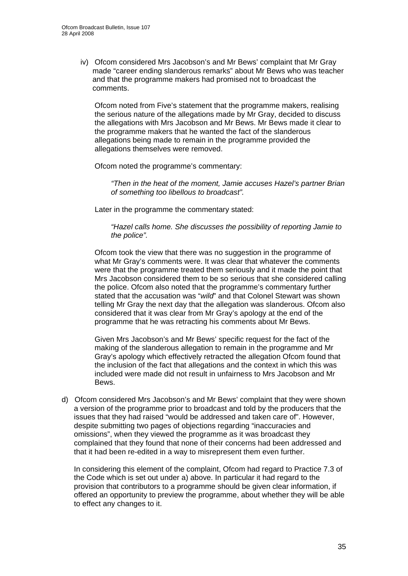iv) Ofcom considered Mrs Jacobson's and Mr Bews' complaint that Mr Gray made "career ending slanderous remarks" about Mr Bews who was teacher and that the programme makers had promised not to broadcast the comments.

Ofcom noted from Five's statement that the programme makers, realising the serious nature of the allegations made by Mr Gray, decided to discuss the allegations with Mrs Jacobson and Mr Bews. Mr Bews made it clear to the programme makers that he wanted the fact of the slanderous allegations being made to remain in the programme provided the allegations themselves were removed.

Ofcom noted the programme's commentary:

*"Then in the heat of the moment, Jamie accuses Hazel's partner Brian of something too libellous to broadcast".* 

Later in the programme the commentary stated:

*"Hazel calls home. She discusses the possibility of reporting Jamie to the police".* 

Ofcom took the view that there was no suggestion in the programme of what Mr Gray's comments were. It was clear that whatever the comments were that the programme treated them seriously and it made the point that Mrs Jacobson considered them to be so serious that she considered calling the police. Ofcom also noted that the programme's commentary further stated that the accusation was "*wild*" and that Colonel Stewart was shown telling Mr Gray the next day that the allegation was slanderous. Ofcom also considered that it was clear from Mr Gray's apology at the end of the programme that he was retracting his comments about Mr Bews.

Given Mrs Jacobson's and Mr Bews' specific request for the fact of the making of the slanderous allegation to remain in the programme and Mr Gray's apology which effectively retracted the allegation Ofcom found that the inclusion of the fact that allegations and the context in which this was included were made did not result in unfairness to Mrs Jacobson and Mr Bews.

d) Ofcom considered Mrs Jacobson's and Mr Bews' complaint that they were shown a version of the programme prior to broadcast and told by the producers that the issues that they had raised "would be addressed and taken care of". However, despite submitting two pages of objections regarding "inaccuracies and omissions", when they viewed the programme as it was broadcast they complained that they found that none of their concerns had been addressed and that it had been re-edited in a way to misrepresent them even further.

In considering this element of the complaint, Ofcom had regard to Practice 7.3 of the Code which is set out under a) above. In particular it had regard to the provision that contributors to a programme should be given clear information, if offered an opportunity to preview the programme, about whether they will be able to effect any changes to it.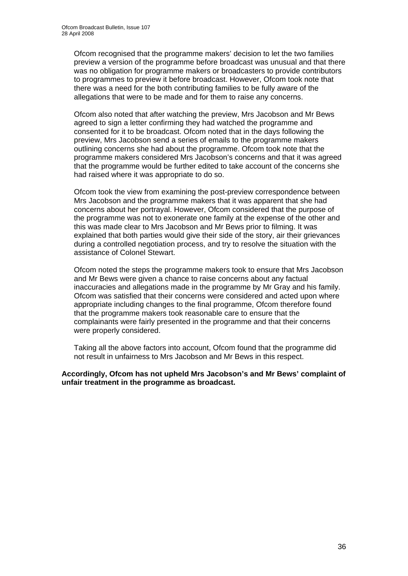Ofcom recognised that the programme makers' decision to let the two families preview a version of the programme before broadcast was unusual and that there was no obligation for programme makers or broadcasters to provide contributors to programmes to preview it before broadcast. However, Ofcom took note that there was a need for the both contributing families to be fully aware of the allegations that were to be made and for them to raise any concerns.

Ofcom also noted that after watching the preview, Mrs Jacobson and Mr Bews agreed to sign a letter confirming they had watched the programme and consented for it to be broadcast. Ofcom noted that in the days following the preview, Mrs Jacobson send a series of emails to the programme makers outlining concerns she had about the programme. Ofcom took note that the programme makers considered Mrs Jacobson's concerns and that it was agreed that the programme would be further edited to take account of the concerns she had raised where it was appropriate to do so.

Ofcom took the view from examining the post-preview correspondence between Mrs Jacobson and the programme makers that it was apparent that she had concerns about her portrayal. However, Ofcom considered that the purpose of the programme was not to exonerate one family at the expense of the other and this was made clear to Mrs Jacobson and Mr Bews prior to filming. It was explained that both parties would give their side of the story, air their grievances during a controlled negotiation process, and try to resolve the situation with the assistance of Colonel Stewart.

Ofcom noted the steps the programme makers took to ensure that Mrs Jacobson and Mr Bews were given a chance to raise concerns about any factual inaccuracies and allegations made in the programme by Mr Gray and his family. Ofcom was satisfied that their concerns were considered and acted upon where appropriate including changes to the final programme, Ofcom therefore found that the programme makers took reasonable care to ensure that the complainants were fairly presented in the programme and that their concerns were properly considered.

Taking all the above factors into account, Ofcom found that the programme did not result in unfairness to Mrs Jacobson and Mr Bews in this respect.

#### **Accordingly, Ofcom has not upheld Mrs Jacobson's and Mr Bews' complaint of unfair treatment in the programme as broadcast.**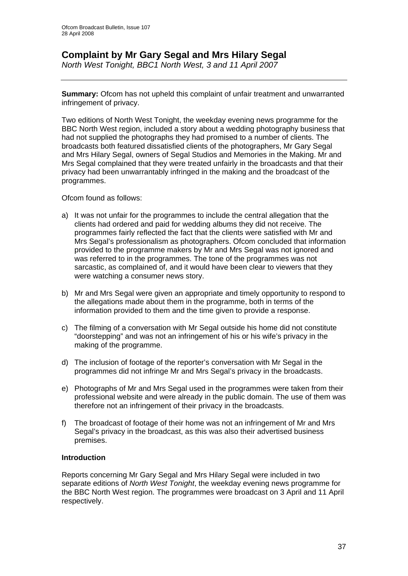## **Complaint by Mr Gary Segal and Mrs Hilary Segal**

*North West Tonight, BBC1 North West, 3 and 11 April 2007* 

**Summary:** Ofcom has not upheld this complaint of unfair treatment and unwarranted infringement of privacy.

Two editions of North West Tonight, the weekday evening news programme for the BBC North West region, included a story about a wedding photography business that had not supplied the photographs they had promised to a number of clients. The broadcasts both featured dissatisfied clients of the photographers, Mr Gary Segal and Mrs Hilary Segal, owners of Segal Studios and Memories in the Making. Mr and Mrs Segal complained that they were treated unfairly in the broadcasts and that their privacy had been unwarrantably infringed in the making and the broadcast of the programmes.

Ofcom found as follows:

- a) It was not unfair for the programmes to include the central allegation that the clients had ordered and paid for wedding albums they did not receive. The programmes fairly reflected the fact that the clients were satisfied with Mr and Mrs Segal's professionalism as photographers. Ofcom concluded that information provided to the programme makers by Mr and Mrs Segal was not ignored and was referred to in the programmes. The tone of the programmes was not sarcastic, as complained of, and it would have been clear to viewers that they were watching a consumer news story.
- b) Mr and Mrs Segal were given an appropriate and timely opportunity to respond to the allegations made about them in the programme, both in terms of the information provided to them and the time given to provide a response.
- c) The filming of a conversation with Mr Segal outside his home did not constitute "doorstepping" and was not an infringement of his or his wife's privacy in the making of the programme.
- d) The inclusion of footage of the reporter's conversation with Mr Segal in the programmes did not infringe Mr and Mrs Segal's privacy in the broadcasts.
- e) Photographs of Mr and Mrs Segal used in the programmes were taken from their professional website and were already in the public domain. The use of them was therefore not an infringement of their privacy in the broadcasts.
- f) The broadcast of footage of their home was not an infringement of Mr and Mrs Segal's privacy in the broadcast, as this was also their advertised business premises.

#### **Introduction**

Reports concerning Mr Gary Segal and Mrs Hilary Segal were included in two separate editions of *North West Tonight*, the weekday evening news programme for the BBC North West region. The programmes were broadcast on 3 April and 11 April respectively.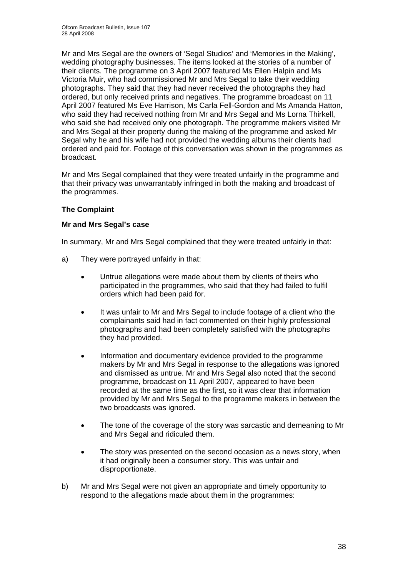Mr and Mrs Segal are the owners of 'Segal Studios' and 'Memories in the Making', wedding photography businesses. The items looked at the stories of a number of their clients. The programme on 3 April 2007 featured Ms Ellen Halpin and Ms Victoria Muir, who had commissioned Mr and Mrs Segal to take their wedding photographs. They said that they had never received the photographs they had ordered, but only received prints and negatives. The programme broadcast on 11 April 2007 featured Ms Eve Harrison, Ms Carla Fell-Gordon and Ms Amanda Hatton, who said they had received nothing from Mr and Mrs Segal and Ms Lorna Thirkell, who said she had received only one photograph. The programme makers visited Mr and Mrs Segal at their property during the making of the programme and asked Mr Segal why he and his wife had not provided the wedding albums their clients had ordered and paid for. Footage of this conversation was shown in the programmes as broadcast.

Mr and Mrs Segal complained that they were treated unfairly in the programme and that their privacy was unwarrantably infringed in both the making and broadcast of the programmes.

#### **The Complaint**

#### **Mr and Mrs Segal's case**

In summary, Mr and Mrs Segal complained that they were treated unfairly in that:

- a) They were portrayed unfairly in that:
	- Untrue allegations were made about them by clients of theirs who participated in the programmes, who said that they had failed to fulfil orders which had been paid for.
	- It was unfair to Mr and Mrs Segal to include footage of a client who the complainants said had in fact commented on their highly professional photographs and had been completely satisfied with the photographs they had provided.
	- Information and documentary evidence provided to the programme makers by Mr and Mrs Segal in response to the allegations was ignored and dismissed as untrue. Mr and Mrs Segal also noted that the second programme, broadcast on 11 April 2007, appeared to have been recorded at the same time as the first, so it was clear that information provided by Mr and Mrs Segal to the programme makers in between the two broadcasts was ignored.
	- The tone of the coverage of the story was sarcastic and demeaning to Mr and Mrs Segal and ridiculed them.
	- The story was presented on the second occasion as a news story, when it had originally been a consumer story. This was unfair and disproportionate.
- b) Mr and Mrs Segal were not given an appropriate and timely opportunity to respond to the allegations made about them in the programmes: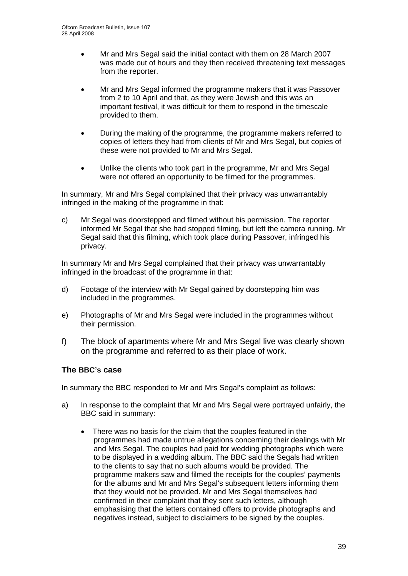- Mr and Mrs Segal said the initial contact with them on 28 March 2007 was made out of hours and they then received threatening text messages from the reporter.
- Mr and Mrs Segal informed the programme makers that it was Passover from 2 to 10 April and that, as they were Jewish and this was an important festival, it was difficult for them to respond in the timescale provided to them.
- During the making of the programme, the programme makers referred to copies of letters they had from clients of Mr and Mrs Segal, but copies of these were not provided to Mr and Mrs Segal.
- Unlike the clients who took part in the programme, Mr and Mrs Segal were not offered an opportunity to be filmed for the programmes.

In summary, Mr and Mrs Segal complained that their privacy was unwarrantably infringed in the making of the programme in that:

c) Mr Segal was doorstepped and filmed without his permission. The reporter informed Mr Segal that she had stopped filming, but left the camera running. Mr Segal said that this filming, which took place during Passover, infringed his privacy.

In summary Mr and Mrs Segal complained that their privacy was unwarrantably infringed in the broadcast of the programme in that:

- d) Footage of the interview with Mr Segal gained by doorstepping him was included in the programmes.
- e) Photographs of Mr and Mrs Segal were included in the programmes without their permission.
- f) The block of apartments where Mr and Mrs Segal live was clearly shown on the programme and referred to as their place of work.

#### **The BBC's case**

In summary the BBC responded to Mr and Mrs Segal's complaint as follows:

- a) In response to the complaint that Mr and Mrs Segal were portrayed unfairly, the BBC said in summary:
	- There was no basis for the claim that the couples featured in the programmes had made untrue allegations concerning their dealings with Mr and Mrs Segal. The couples had paid for wedding photographs which were to be displayed in a wedding album. The BBC said the Segals had written to the clients to say that no such albums would be provided. The programme makers saw and filmed the receipts for the couples' payments for the albums and Mr and Mrs Segal's subsequent letters informing them that they would not be provided. Mr and Mrs Segal themselves had confirmed in their complaint that they sent such letters, although emphasising that the letters contained offers to provide photographs and negatives instead, subject to disclaimers to be signed by the couples.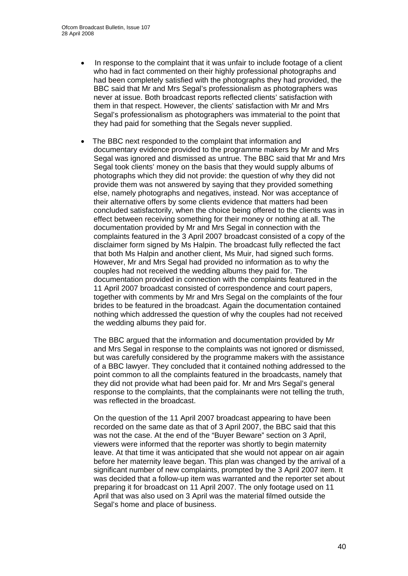- In response to the complaint that it was unfair to include footage of a client who had in fact commented on their highly professional photographs and had been completely satisfied with the photographs they had provided, the BBC said that Mr and Mrs Segal's professionalism as photographers was never at issue. Both broadcast reports reflected clients' satisfaction with them in that respect. However, the clients' satisfaction with Mr and Mrs Segal's professionalism as photographers was immaterial to the point that they had paid for something that the Segals never supplied.
- The BBC next responded to the complaint that information and documentary evidence provided to the programme makers by Mr and Mrs Segal was ignored and dismissed as untrue. The BBC said that Mr and Mrs Segal took clients' money on the basis that they would supply albums of photographs which they did not provide: the question of why they did not provide them was not answered by saying that they provided something else, namely photographs and negatives, instead. Nor was acceptance of their alternative offers by some clients evidence that matters had been concluded satisfactorily, when the choice being offered to the clients was in effect between receiving something for their money or nothing at all. The documentation provided by Mr and Mrs Segal in connection with the complaints featured in the 3 April 2007 broadcast consisted of a copy of the disclaimer form signed by Ms Halpin. The broadcast fully reflected the fact that both Ms Halpin and another client, Ms Muir, had signed such forms. However, Mr and Mrs Segal had provided no information as to why the couples had not received the wedding albums they paid for. The documentation provided in connection with the complaints featured in the 11 April 2007 broadcast consisted of correspondence and court papers, together with comments by Mr and Mrs Segal on the complaints of the four brides to be featured in the broadcast. Again the documentation contained nothing which addressed the question of why the couples had not received the wedding albums they paid for.

The BBC argued that the information and documentation provided by Mr and Mrs Segal in response to the complaints was not ignored or dismissed, but was carefully considered by the programme makers with the assistance of a BBC lawyer. They concluded that it contained nothing addressed to the point common to all the complaints featured in the broadcasts, namely that they did not provide what had been paid for. Mr and Mrs Segal's general response to the complaints, that the complainants were not telling the truth, was reflected in the broadcast.

On the question of the 11 April 2007 broadcast appearing to have been recorded on the same date as that of 3 April 2007, the BBC said that this was not the case. At the end of the "Buyer Beware" section on 3 April, viewers were informed that the reporter was shortly to begin maternity leave. At that time it was anticipated that she would not appear on air again before her maternity leave began. This plan was changed by the arrival of a significant number of new complaints, prompted by the 3 April 2007 item. It was decided that a follow-up item was warranted and the reporter set about preparing it for broadcast on 11 April 2007. The only footage used on 11 April that was also used on 3 April was the material filmed outside the Segal's home and place of business.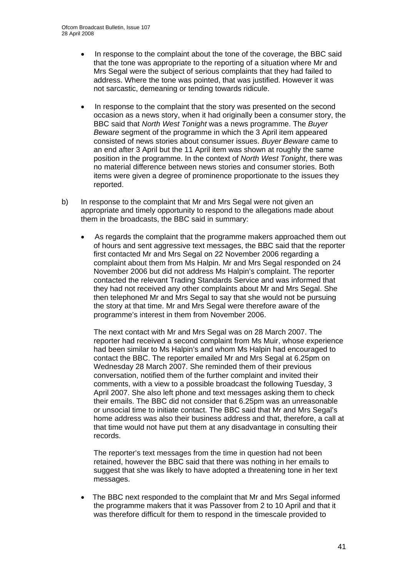- In response to the complaint about the tone of the coverage, the BBC said that the tone was appropriate to the reporting of a situation where Mr and Mrs Segal were the subject of serious complaints that they had failed to address. Where the tone was pointed, that was justified. However it was not sarcastic, demeaning or tending towards ridicule.
- In response to the complaint that the story was presented on the second occasion as a news story, when it had originally been a consumer story, the BBC said that *North West Tonight* was a news programme. The *Buyer Beware* segment of the programme in which the 3 April item appeared consisted of news stories about consumer issues. *Buyer Beware* came to an end after 3 April but the 11 April item was shown at roughly the same position in the programme. In the context of *North West Tonight*, there was no material difference between news stories and consumer stories. Both items were given a degree of prominence proportionate to the issues they reported.
- b) In response to the complaint that Mr and Mrs Segal were not given an appropriate and timely opportunity to respond to the allegations made about them in the broadcasts, the BBC said in summary:
	- As regards the complaint that the programme makers approached them out of hours and sent aggressive text messages, the BBC said that the reporter first contacted Mr and Mrs Segal on 22 November 2006 regarding a complaint about them from Ms Halpin. Mr and Mrs Segal responded on 24 November 2006 but did not address Ms Halpin's complaint. The reporter contacted the relevant Trading Standards Service and was informed that they had not received any other complaints about Mr and Mrs Segal. She then telephoned Mr and Mrs Segal to say that she would not be pursuing the story at that time. Mr and Mrs Segal were therefore aware of the programme's interest in them from November 2006.

The next contact with Mr and Mrs Segal was on 28 March 2007. The reporter had received a second complaint from Ms Muir, whose experience had been similar to Ms Halpin's and whom Ms Halpin had encouraged to contact the BBC. The reporter emailed Mr and Mrs Segal at 6.25pm on Wednesday 28 March 2007. She reminded them of their previous conversation, notified them of the further complaint and invited their comments, with a view to a possible broadcast the following Tuesday, 3 April 2007. She also left phone and text messages asking them to check their emails. The BBC did not consider that 6.25pm was an unreasonable or unsocial time to initiate contact. The BBC said that Mr and Mrs Segal's home address was also their business address and that, therefore, a call at that time would not have put them at any disadvantage in consulting their records.

The reporter's text messages from the time in question had not been retained, however the BBC said that there was nothing in her emails to suggest that she was likely to have adopted a threatening tone in her text messages.

• The BBC next responded to the complaint that Mr and Mrs Segal informed the programme makers that it was Passover from 2 to 10 April and that it was therefore difficult for them to respond in the timescale provided to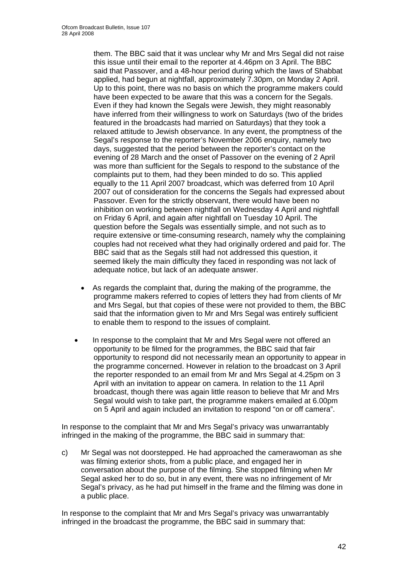them. The BBC said that it was unclear why Mr and Mrs Segal did not raise this issue until their email to the reporter at 4.46pm on 3 April. The BBC said that Passover, and a 48-hour period during which the laws of Shabbat applied, had begun at nightfall, approximately 7.30pm, on Monday 2 April. Up to this point, there was no basis on which the programme makers could have been expected to be aware that this was a concern for the Segals. Even if they had known the Segals were Jewish, they might reasonably have inferred from their willingness to work on Saturdays (two of the brides featured in the broadcasts had married on Saturdays) that they took a relaxed attitude to Jewish observance. In any event, the promptness of the Segal's response to the reporter's November 2006 enquiry, namely two days, suggested that the period between the reporter's contact on the evening of 28 March and the onset of Passover on the evening of 2 April was more than sufficient for the Segals to respond to the substance of the complaints put to them, had they been minded to do so. This applied equally to the 11 April 2007 broadcast, which was deferred from 10 April 2007 out of consideration for the concerns the Segals had expressed about Passover. Even for the strictly observant, there would have been no inhibition on working between nightfall on Wednesday 4 April and nightfall on Friday 6 April, and again after nightfall on Tuesday 10 April. The question before the Segals was essentially simple, and not such as to require extensive or time-consuming research, namely why the complaining couples had not received what they had originally ordered and paid for. The BBC said that as the Segals still had not addressed this question, it seemed likely the main difficulty they faced in responding was not lack of adequate notice, but lack of an adequate answer.

- As regards the complaint that, during the making of the programme, the programme makers referred to copies of letters they had from clients of Mr and Mrs Segal, but that copies of these were not provided to them, the BBC said that the information given to Mr and Mrs Segal was entirely sufficient to enable them to respond to the issues of complaint.
- In response to the complaint that Mr and Mrs Segal were not offered an opportunity to be filmed for the programmes, the BBC said that fair opportunity to respond did not necessarily mean an opportunity to appear in the programme concerned. However in relation to the broadcast on 3 April the reporter responded to an email from Mr and Mrs Segal at 4.25pm on 3 April with an invitation to appear on camera. In relation to the 11 April broadcast, though there was again little reason to believe that Mr and Mrs Segal would wish to take part, the programme makers emailed at 6.00pm on 5 April and again included an invitation to respond "on or off camera".

In response to the complaint that Mr and Mrs Segal's privacy was unwarrantably infringed in the making of the programme, the BBC said in summary that:

c) Mr Segal was not doorstepped. He had approached the camerawoman as she was filming exterior shots, from a public place, and engaged her in conversation about the purpose of the filming. She stopped filming when Mr Segal asked her to do so, but in any event, there was no infringement of Mr Segal's privacy, as he had put himself in the frame and the filming was done in a public place.

In response to the complaint that Mr and Mrs Segal's privacy was unwarrantably infringed in the broadcast the programme, the BBC said in summary that: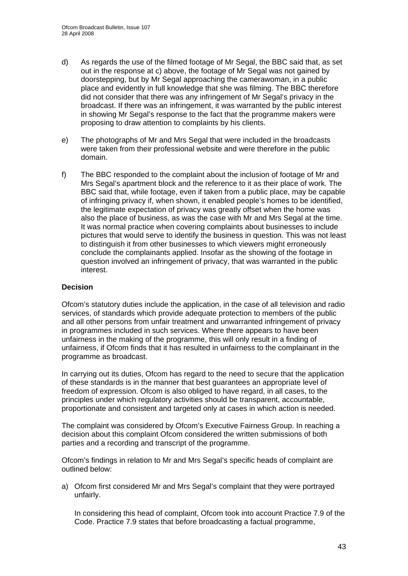- d) As regards the use of the filmed footage of Mr Segal, the BBC said that, as set out in the response at c) above, the footage of Mr Segal was not gained by doorstepping, but by Mr Segal approaching the camerawoman, in a public place and evidently in full knowledge that she was filming. The BBC therefore did not consider that there was any infringement of Mr Segal's privacy in the broadcast. If there was an infringement, it was warranted by the public interest in showing Mr Segal's response to the fact that the programme makers were proposing to draw attention to complaints by his clients.
- e) The photographs of Mr and Mrs Segal that were included in the broadcasts were taken from their professional website and were therefore in the public domain.
- f) The BBC responded to the complaint about the inclusion of footage of Mr and Mrs Segal's apartment block and the reference to it as their place of work. The BBC said that, while footage, even if taken from a public place, may be capable of infringing privacy if, when shown, it enabled people's homes to be identified, the legitimate expectation of privacy was greatly offset when the home was also the place of business, as was the case with Mr and Mrs Segal at the time. It was normal practice when covering complaints about businesses to include pictures that would serve to identify the business in question. This was not least to distinguish it from other businesses to which viewers might erroneously conclude the complainants applied. Insofar as the showing of the footage in question involved an infringement of privacy, that was warranted in the public interest.

#### **Decision**

Ofcom's statutory duties include the application, in the case of all television and radio services, of standards which provide adequate protection to members of the public and all other persons from unfair treatment and unwarranted infringement of privacy in programmes included in such services. Where there appears to have been unfairness in the making of the programme, this will only result in a finding of unfairness, if Ofcom finds that it has resulted in unfairness to the complainant in the programme as broadcast.

In carrying out its duties, Ofcom has regard to the need to secure that the application of these standards is in the manner that best guarantees an appropriate level of freedom of expression. Ofcom is also obliged to have regard, in all cases, to the principles under which regulatory activities should be transparent, accountable, proportionate and consistent and targeted only at cases in which action is needed.

The complaint was considered by Ofcom's Executive Fairness Group. In reaching a decision about this complaint Ofcom considered the written submissions of both parties and a recording and transcript of the programme.

Ofcom's findings in relation to Mr and Mrs Segal's specific heads of complaint are outlined below:

a) Ofcom first considered Mr and Mrs Segal's complaint that they were portrayed unfairly.

In considering this head of complaint, Ofcom took into account Practice 7.9 of the Code. Practice 7.9 states that before broadcasting a factual programme,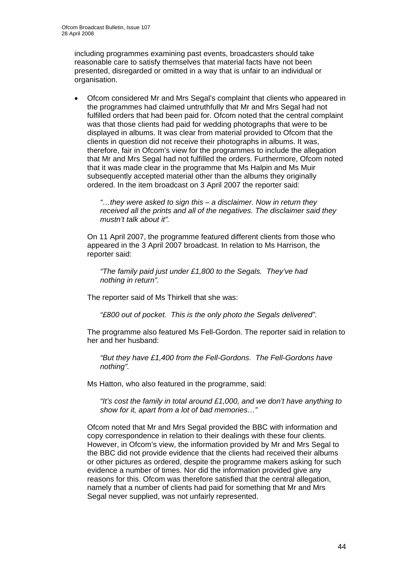including programmes examining past events, broadcasters should take reasonable care to satisfy themselves that material facts have not been presented, disregarded or omitted in a way that is unfair to an individual or organisation.

• Ofcom considered Mr and Mrs Segal's complaint that clients who appeared in the programmes had claimed untruthfully that Mr and Mrs Segal had not fulfilled orders that had been paid for. Ofcom noted that the central complaint was that those clients had paid for wedding photographs that were to be displayed in albums. It was clear from material provided to Ofcom that the clients in question did not receive their photographs in albums. It was, therefore, fair in Ofcom's view for the programmes to include the allegation that Mr and Mrs Segal had not fulfilled the orders. Furthermore, Ofcom noted that it was made clear in the programme that Ms Halpin and Ms Muir subsequently accepted material other than the albums they originally ordered. In the item broadcast on 3 April 2007 the reporter said:

*"…they were asked to sign this – a disclaimer. Now in return they received all the prints and all of the negatives. The disclaimer said they mustn't talk about it".* 

On 11 April 2007, the programme featured different clients from those who appeared in the 3 April 2007 broadcast. In relation to Ms Harrison, the reporter said:

*"The family paid just under £1,800 to the Segals. They've had nothing in return".* 

The reporter said of Ms Thirkell that she was:

*"£800 out of pocket. This is the only photo the Segals delivered".* 

The programme also featured Ms Fell-Gordon. The reporter said in relation to her and her husband:

*"But they have £1,400 from the Fell-Gordons. The Fell-Gordons have nothing".* 

Ms Hatton, who also featured in the programme, said:

*"It's cost the family in total around £1,000, and we don't have anything to show for it, apart from a lot of bad memories…"* 

Ofcom noted that Mr and Mrs Segal provided the BBC with information and copy correspondence in relation to their dealings with these four clients. However, in Ofcom's view, the information provided by Mr and Mrs Segal to the BBC did not provide evidence that the clients had received their albums or other pictures as ordered, despite the programme makers asking for such evidence a number of times. Nor did the information provided give any reasons for this. Ofcom was therefore satisfied that the central allegation, namely that a number of clients had paid for something that Mr and Mrs Segal never supplied, was not unfairly represented.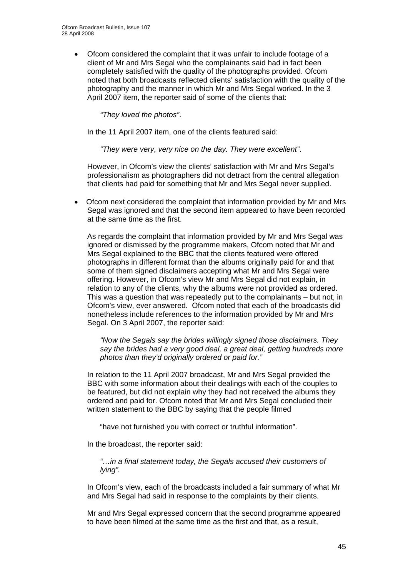• Ofcom considered the complaint that it was unfair to include footage of a client of Mr and Mrs Segal who the complainants said had in fact been completely satisfied with the quality of the photographs provided. Ofcom noted that both broadcasts reflected clients' satisfaction with the quality of the photography and the manner in which Mr and Mrs Segal worked. In the 3 April 2007 item, the reporter said of some of the clients that:

*"They loved the photos"*.

In the 11 April 2007 item, one of the clients featured said:

*"They were very, very nice on the day. They were excellent"*.

However, in Ofcom's view the clients' satisfaction with Mr and Mrs Segal's professionalism as photographers did not detract from the central allegation that clients had paid for something that Mr and Mrs Segal never supplied.

• Ofcom next considered the complaint that information provided by Mr and Mrs Segal was ignored and that the second item appeared to have been recorded at the same time as the first.

As regards the complaint that information provided by Mr and Mrs Segal was ignored or dismissed by the programme makers, Ofcom noted that Mr and Mrs Segal explained to the BBC that the clients featured were offered photographs in different format than the albums originally paid for and that some of them signed disclaimers accepting what Mr and Mrs Segal were offering. However, in Ofcom's view Mr and Mrs Segal did not explain, in relation to any of the clients, why the albums were not provided as ordered. This was a question that was repeatedly put to the complainants – but not, in Ofcom's view, ever answered. Ofcom noted that each of the broadcasts did nonetheless include references to the information provided by Mr and Mrs Segal. On 3 April 2007, the reporter said:

*"Now the Segals say the brides willingly signed those disclaimers. They say the brides had a very good deal, a great deal, getting hundreds more photos than they'd originally ordered or paid for."* 

In relation to the 11 April 2007 broadcast, Mr and Mrs Segal provided the BBC with some information about their dealings with each of the couples to be featured, but did not explain why they had not received the albums they ordered and paid for. Ofcom noted that Mr and Mrs Segal concluded their written statement to the BBC by saying that the people filmed

"have not furnished you with correct or truthful information".

In the broadcast, the reporter said:

*"…in a final statement today, the Segals accused their customers of lying".* 

In Ofcom's view, each of the broadcasts included a fair summary of what Mr and Mrs Segal had said in response to the complaints by their clients.

Mr and Mrs Segal expressed concern that the second programme appeared to have been filmed at the same time as the first and that, as a result,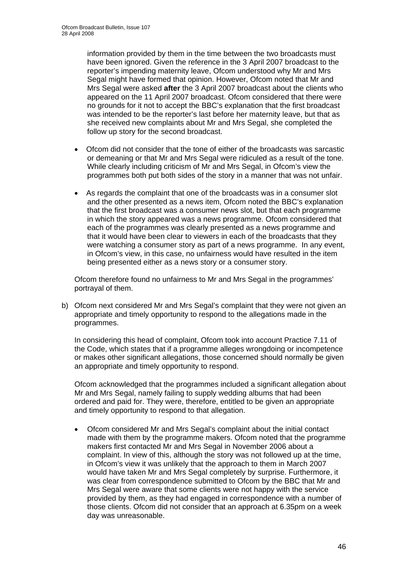information provided by them in the time between the two broadcasts must have been ignored. Given the reference in the 3 April 2007 broadcast to the reporter's impending maternity leave, Ofcom understood why Mr and Mrs Segal might have formed that opinion. However, Ofcom noted that Mr and Mrs Segal were asked **after** the 3 April 2007 broadcast about the clients who appeared on the 11 April 2007 broadcast. Ofcom considered that there were no grounds for it not to accept the BBC's explanation that the first broadcast was intended to be the reporter's last before her maternity leave, but that as she received new complaints about Mr and Mrs Segal, she completed the follow up story for the second broadcast.

- Ofcom did not consider that the tone of either of the broadcasts was sarcastic or demeaning or that Mr and Mrs Segal were ridiculed as a result of the tone. While clearly including criticism of Mr and Mrs Segal, in Ofcom's view the programmes both put both sides of the story in a manner that was not unfair.
- As regards the complaint that one of the broadcasts was in a consumer slot and the other presented as a news item, Ofcom noted the BBC's explanation that the first broadcast was a consumer news slot, but that each programme in which the story appeared was a news programme. Ofcom considered that each of the programmes was clearly presented as a news programme and that it would have been clear to viewers in each of the broadcasts that they were watching a consumer story as part of a news programme. In any event, in Ofcom's view, in this case, no unfairness would have resulted in the item being presented either as a news story or a consumer story.

Ofcom therefore found no unfairness to Mr and Mrs Segal in the programmes' portrayal of them.

b) Ofcom next considered Mr and Mrs Segal's complaint that they were not given an appropriate and timely opportunity to respond to the allegations made in the programmes.

In considering this head of complaint, Ofcom took into account Practice 7.11 of the Code, which states that if a programme alleges wrongdoing or incompetence or makes other significant allegations, those concerned should normally be given an appropriate and timely opportunity to respond.

Ofcom acknowledged that the programmes included a significant allegation about Mr and Mrs Segal, namely failing to supply wedding albums that had been ordered and paid for. They were, therefore, entitled to be given an appropriate and timely opportunity to respond to that allegation.

• Ofcom considered Mr and Mrs Segal's complaint about the initial contact made with them by the programme makers. Ofcom noted that the programme makers first contacted Mr and Mrs Segal in November 2006 about a complaint. In view of this, although the story was not followed up at the time, in Ofcom's view it was unlikely that the approach to them in March 2007 would have taken Mr and Mrs Segal completely by surprise. Furthermore, it was clear from correspondence submitted to Ofcom by the BBC that Mr and Mrs Segal were aware that some clients were not happy with the service provided by them, as they had engaged in correspondence with a number of those clients. Ofcom did not consider that an approach at 6.35pm on a week day was unreasonable.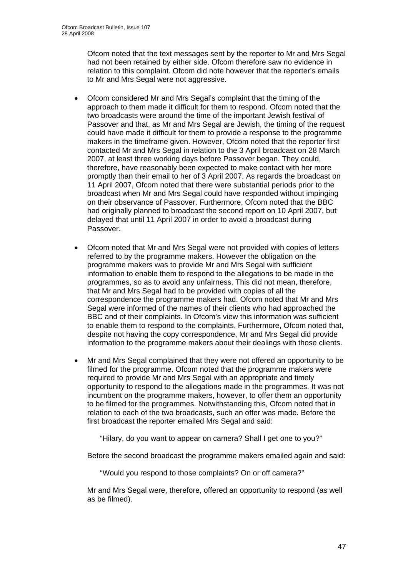Ofcom noted that the text messages sent by the reporter to Mr and Mrs Segal had not been retained by either side. Ofcom therefore saw no evidence in relation to this complaint. Ofcom did note however that the reporter's emails to Mr and Mrs Segal were not aggressive.

- Ofcom considered Mr and Mrs Segal's complaint that the timing of the approach to them made it difficult for them to respond. Ofcom noted that the two broadcasts were around the time of the important Jewish festival of Passover and that, as Mr and Mrs Segal are Jewish, the timing of the request could have made it difficult for them to provide a response to the programme makers in the timeframe given. However, Ofcom noted that the reporter first contacted Mr and Mrs Segal in relation to the 3 April broadcast on 28 March 2007, at least three working days before Passover began. They could, therefore, have reasonably been expected to make contact with her more promptly than their email to her of 3 April 2007. As regards the broadcast on 11 April 2007, Ofcom noted that there were substantial periods prior to the broadcast when Mr and Mrs Segal could have responded without impinging on their observance of Passover. Furthermore, Ofcom noted that the BBC had originally planned to broadcast the second report on 10 April 2007, but delayed that until 11 April 2007 in order to avoid a broadcast during Passover.
- Ofcom noted that Mr and Mrs Segal were not provided with copies of letters referred to by the programme makers. However the obligation on the programme makers was to provide Mr and Mrs Segal with sufficient information to enable them to respond to the allegations to be made in the programmes, so as to avoid any unfairness. This did not mean, therefore, that Mr and Mrs Segal had to be provided with copies of all the correspondence the programme makers had. Ofcom noted that Mr and Mrs Segal were informed of the names of their clients who had approached the BBC and of their complaints. In Ofcom's view this information was sufficient to enable them to respond to the complaints. Furthermore, Ofcom noted that, despite not having the copy correspondence, Mr and Mrs Segal did provide information to the programme makers about their dealings with those clients.
- Mr and Mrs Segal complained that they were not offered an opportunity to be filmed for the programme. Ofcom noted that the programme makers were required to provide Mr and Mrs Segal with an appropriate and timely opportunity to respond to the allegations made in the programmes. It was not incumbent on the programme makers, however, to offer them an opportunity to be filmed for the programmes. Notwithstanding this, Ofcom noted that in relation to each of the two broadcasts, such an offer was made. Before the first broadcast the reporter emailed Mrs Segal and said:

"Hilary, do you want to appear on camera? Shall I get one to you?"

Before the second broadcast the programme makers emailed again and said:

"Would you respond to those complaints? On or off camera?"

Mr and Mrs Segal were, therefore, offered an opportunity to respond (as well as be filmed).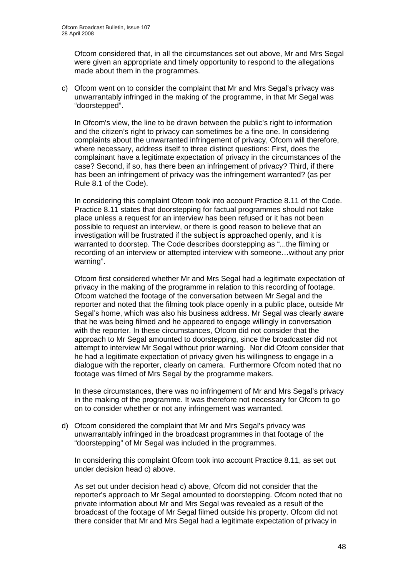Ofcom considered that, in all the circumstances set out above, Mr and Mrs Segal were given an appropriate and timely opportunity to respond to the allegations made about them in the programmes.

c) Ofcom went on to consider the complaint that Mr and Mrs Segal's privacy was unwarrantably infringed in the making of the programme, in that Mr Segal was "doorstepped".

In Ofcom's view, the line to be drawn between the public's right to information and the citizen's right to privacy can sometimes be a fine one. In considering complaints about the unwarranted infringement of privacy, Ofcom will therefore, where necessary, address itself to three distinct questions: First, does the complainant have a legitimate expectation of privacy in the circumstances of the case? Second, if so, has there been an infringement of privacy? Third, if there has been an infringement of privacy was the infringement warranted? (as per Rule 8.1 of the Code).

In considering this complaint Ofcom took into account Practice 8.11 of the Code. Practice 8.11 states that doorstepping for factual programmes should not take place unless a request for an interview has been refused or it has not been possible to request an interview, or there is good reason to believe that an investigation will be frustrated if the subject is approached openly, and it is warranted to doorstep. The Code describes doorstepping as "...the filming or recording of an interview or attempted interview with someone…without any prior warning".

Ofcom first considered whether Mr and Mrs Segal had a legitimate expectation of privacy in the making of the programme in relation to this recording of footage. Ofcom watched the footage of the conversation between Mr Segal and the reporter and noted that the filming took place openly in a public place, outside Mr Segal's home, which was also his business address. Mr Segal was clearly aware that he was being filmed and he appeared to engage willingly in conversation with the reporter. In these circumstances, Ofcom did not consider that the approach to Mr Segal amounted to doorstepping, since the broadcaster did not attempt to interview Mr Segal without prior warning. Nor did Ofcom consider that he had a legitimate expectation of privacy given his willingness to engage in a dialogue with the reporter, clearly on camera. Furthermore Ofcom noted that no footage was filmed of Mrs Segal by the programme makers.

In these circumstances, there was no infringement of Mr and Mrs Segal's privacy in the making of the programme. It was therefore not necessary for Ofcom to go on to consider whether or not any infringement was warranted.

d) Ofcom considered the complaint that Mr and Mrs Segal's privacy was unwarrantably infringed in the broadcast programmes in that footage of the "doorstepping" of Mr Segal was included in the programmes.

In considering this complaint Ofcom took into account Practice 8.11, as set out under decision head c) above.

As set out under decision head c) above, Ofcom did not consider that the reporter's approach to Mr Segal amounted to doorstepping. Ofcom noted that no private information about Mr and Mrs Segal was revealed as a result of the broadcast of the footage of Mr Segal filmed outside his property. Ofcom did not there consider that Mr and Mrs Segal had a legitimate expectation of privacy in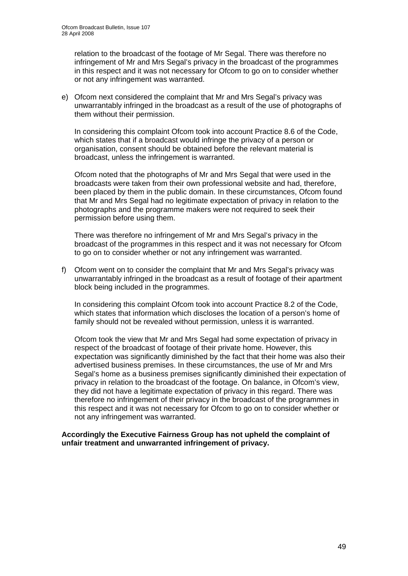relation to the broadcast of the footage of Mr Segal. There was therefore no infringement of Mr and Mrs Segal's privacy in the broadcast of the programmes in this respect and it was not necessary for Ofcom to go on to consider whether or not any infringement was warranted.

e) Ofcom next considered the complaint that Mr and Mrs Segal's privacy was unwarrantably infringed in the broadcast as a result of the use of photographs of them without their permission.

In considering this complaint Ofcom took into account Practice 8.6 of the Code, which states that if a broadcast would infringe the privacy of a person or organisation, consent should be obtained before the relevant material is broadcast, unless the infringement is warranted.

Ofcom noted that the photographs of Mr and Mrs Segal that were used in the broadcasts were taken from their own professional website and had, therefore, been placed by them in the public domain. In these circumstances, Ofcom found that Mr and Mrs Segal had no legitimate expectation of privacy in relation to the photographs and the programme makers were not required to seek their permission before using them.

There was therefore no infringement of Mr and Mrs Segal's privacy in the broadcast of the programmes in this respect and it was not necessary for Ofcom to go on to consider whether or not any infringement was warranted.

f) Ofcom went on to consider the complaint that Mr and Mrs Segal's privacy was unwarrantably infringed in the broadcast as a result of footage of their apartment block being included in the programmes.

In considering this complaint Ofcom took into account Practice 8.2 of the Code, which states that information which discloses the location of a person's home of family should not be revealed without permission, unless it is warranted.

Ofcom took the view that Mr and Mrs Segal had some expectation of privacy in respect of the broadcast of footage of their private home. However, this expectation was significantly diminished by the fact that their home was also their advertised business premises. In these circumstances, the use of Mr and Mrs Segal's home as a business premises significantly diminished their expectation of privacy in relation to the broadcast of the footage. On balance, in Ofcom's view, they did not have a legitimate expectation of privacy in this regard. There was therefore no infringement of their privacy in the broadcast of the programmes in this respect and it was not necessary for Ofcom to go on to consider whether or not any infringement was warranted.

**Accordingly the Executive Fairness Group has not upheld the complaint of unfair treatment and unwarranted infringement of privacy.**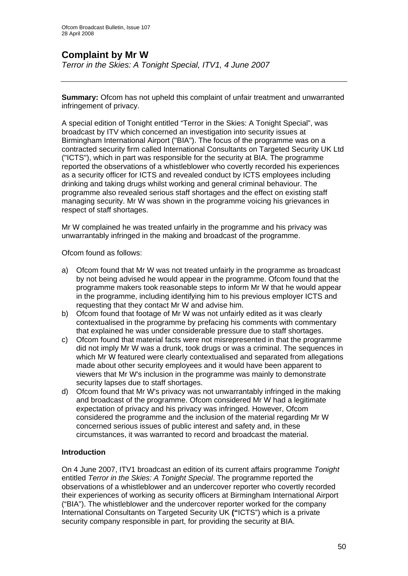## **Complaint by Mr W**

*Terror in the Skies: A Tonight Special, ITV1, 4 June 2007* 

**Summary:** Ofcom has not upheld this complaint of unfair treatment and unwarranted infringement of privacy.

A special edition of Tonight entitled "Terror in the Skies: A Tonight Special", was broadcast by ITV which concerned an investigation into security issues at Birmingham International Airport ("BIA"). The focus of the programme was on a contracted security firm called International Consultants on Targeted Security UK Ltd ("ICTS"), which in part was responsible for the security at BIA. The programme reported the observations of a whistleblower who covertly recorded his experiences as a security officer for ICTS and revealed conduct by ICTS employees including drinking and taking drugs whilst working and general criminal behaviour. The programme also revealed serious staff shortages and the effect on existing staff managing security. Mr W was shown in the programme voicing his grievances in respect of staff shortages.

Mr W complained he was treated unfairly in the programme and his privacy was unwarrantably infringed in the making and broadcast of the programme.

Ofcom found as follows:

- a) Ofcom found that Mr W was not treated unfairly in the programme as broadcast by not being advised he would appear in the programme. Ofcom found that the programme makers took reasonable steps to inform Mr W that he would appear in the programme, including identifying him to his previous employer ICTS and requesting that they contact Mr W and advise him.
- b) Ofcom found that footage of Mr W was not unfairly edited as it was clearly contextualised in the programme by prefacing his comments with commentary that explained he was under considerable pressure due to staff shortages.
- c) Ofcom found that material facts were not misrepresented in that the programme did not imply Mr W was a drunk, took drugs or was a criminal. The sequences in which Mr W featured were clearly contextualised and separated from allegations made about other security employees and it would have been apparent to viewers that Mr W's inclusion in the programme was mainly to demonstrate security lapses due to staff shortages.
- d) Ofcom found that Mr W's privacy was not unwarrantably infringed in the making and broadcast of the programme. Ofcom considered Mr W had a legitimate expectation of privacy and his privacy was infringed. However, Ofcom considered the programme and the inclusion of the material regarding Mr W concerned serious issues of public interest and safety and, in these circumstances, it was warranted to record and broadcast the material.

#### **Introduction**

On 4 June 2007, ITV1 broadcast an edition of its current affairs programme *Tonight* entitled *Terror in the Skies: A Tonight Special*. The programme reported the observations of a whistleblower and an undercover reporter who covertly recorded their experiences of working as security officers at Birmingham International Airport ("BIA"). The whistleblower and the undercover reporter worked for the company International Consultants on Targeted Security UK **("**ICTS") which is a private security company responsible in part, for providing the security at BIA.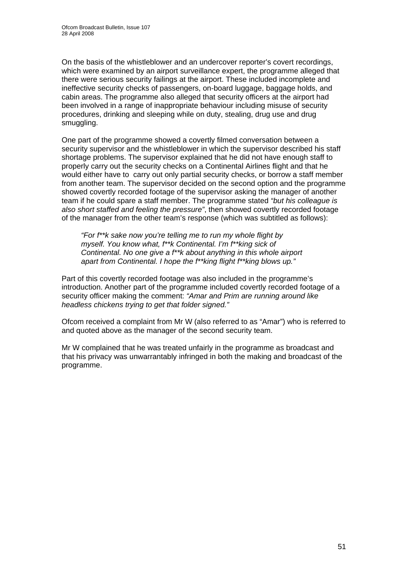On the basis of the whistleblower and an undercover reporter's covert recordings, which were examined by an airport surveillance expert, the programme alleged that there were serious security failings at the airport. These included incomplete and ineffective security checks of passengers, on-board luggage, baggage holds, and cabin areas. The programme also alleged that security officers at the airport had been involved in a range of inappropriate behaviour including misuse of security procedures, drinking and sleeping while on duty, stealing, drug use and drug smuggling.

One part of the programme showed a covertly filmed conversation between a security supervisor and the whistleblower in which the supervisor described his staff shortage problems. The supervisor explained that he did not have enough staff to properly carry out the security checks on a Continental Airlines flight and that he would either have to carry out only partial security checks, or borrow a staff member from another team. The supervisor decided on the second option and the programme showed covertly recorded footage of the supervisor asking the manager of another team if he could spare a staff member. The programme stated *"but his colleague is also short staffed and feeling the pressure"*, then showed covertly recorded footage of the manager from the other team's response (which was subtitled as follows):

*"For f\*\*k sake now you're telling me to run my whole flight by myself. You know what, f\*\*k Continental. I'm f\*\*king sick of Continental. No one give a f\*\*k about anything in this whole airport apart from Continental. I hope the f\*\*king flight f\*\*king blows up."* 

Part of this covertly recorded footage was also included in the programme's introduction. Another part of the programme included covertly recorded footage of a security officer making the comment: *"Amar and Prim are running around like headless chickens trying to get that folder signed."*

Ofcom received a complaint from Mr W (also referred to as "Amar") who is referred to and quoted above as the manager of the second security team.

Mr W complained that he was treated unfairly in the programme as broadcast and that his privacy was unwarrantably infringed in both the making and broadcast of the programme.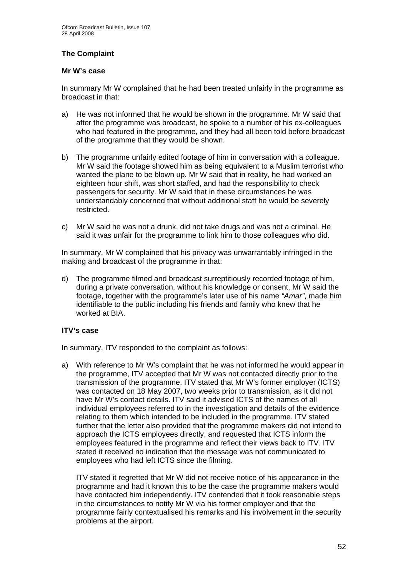#### **The Complaint**

#### **Mr W's case**

In summary Mr W complained that he had been treated unfairly in the programme as broadcast in that:

- a) He was not informed that he would be shown in the programme. Mr W said that after the programme was broadcast, he spoke to a number of his ex-colleagues who had featured in the programme, and they had all been told before broadcast of the programme that they would be shown.
- b) The programme unfairly edited footage of him in conversation with a colleague. Mr W said the footage showed him as being equivalent to a Muslim terrorist who wanted the plane to be blown up. Mr W said that in reality, he had worked an eighteen hour shift, was short staffed, and had the responsibility to check passengers for security. Mr W said that in these circumstances he was understandably concerned that without additional staff he would be severely restricted.
- c) Mr W said he was not a drunk, did not take drugs and was not a criminal. He said it was unfair for the programme to link him to those colleagues who did.

In summary, Mr W complained that his privacy was unwarrantably infringed in the making and broadcast of the programme in that:

d) The programme filmed and broadcast surreptitiously recorded footage of him, during a private conversation, without his knowledge or consent. Mr W said the footage, together with the programme's later use of his name *"Amar"*, made him identifiable to the public including his friends and family who knew that he worked at BIA.

#### **ITV's case**

In summary, ITV responded to the complaint as follows:

a) With reference to Mr W's complaint that he was not informed he would appear in the programme, ITV accepted that Mr W was not contacted directly prior to the transmission of the programme. ITV stated that Mr W's former employer (ICTS) was contacted on 18 May 2007, two weeks prior to transmission, as it did not have Mr W's contact details. ITV said it advised ICTS of the names of all individual employees referred to in the investigation and details of the evidence relating to them which intended to be included in the programme. ITV stated further that the letter also provided that the programme makers did not intend to approach the ICTS employees directly, and requested that ICTS inform the employees featured in the programme and reflect their views back to ITV. ITV stated it received no indication that the message was not communicated to employees who had left ICTS since the filming.

 ITV stated it regretted that Mr W did not receive notice of his appearance in the programme and had it known this to be the case the programme makers would have contacted him independently. ITV contended that it took reasonable steps in the circumstances to notify Mr W via his former employer and that the programme fairly contextualised his remarks and his involvement in the security problems at the airport.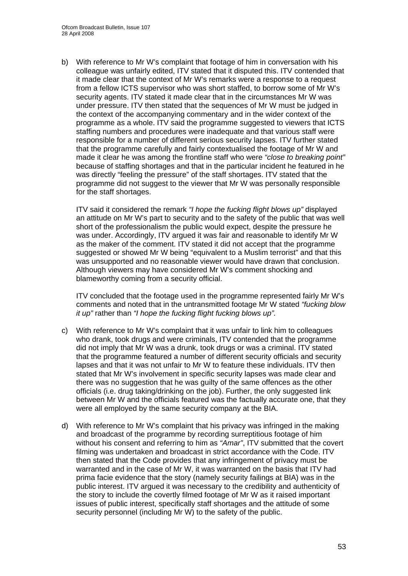b) With reference to Mr W's complaint that footage of him in conversation with his colleague was unfairly edited, ITV stated that it disputed this. ITV contended that it made clear that the context of Mr W's remarks were a response to a request from a fellow ICTS supervisor who was short staffed, to borrow some of Mr W's security agents. ITV stated it made clear that in the circumstances Mr W was under pressure. ITV then stated that the sequences of Mr W must be judged in the context of the accompanying commentary and in the wider context of the programme as a whole. ITV said the programme suggested to viewers that ICTS staffing numbers and procedures were inadequate and that various staff were responsible for a number of different serious security lapses. ITV further stated that the programme carefully and fairly contextualised the footage of Mr W and made it clear he was among the frontline staff who were *"close to breaking point"* because of staffing shortages and that in the particular incident he featured in he was directly "feeling the pressure" of the staff shortages. ITV stated that the programme did not suggest to the viewer that Mr W was personally responsible for the staff shortages.

ITV said it considered the remark *"I hope the fucking flight blows up"* displayed an attitude on Mr W's part to security and to the safety of the public that was well short of the professionalism the public would expect, despite the pressure he was under. Accordingly, ITV argued it was fair and reasonable to identify Mr W as the maker of the comment. ITV stated it did not accept that the programme suggested or showed Mr W being "equivalent to a Muslim terrorist" and that this was unsupported and no reasonable viewer would have drawn that conclusion. Although viewers may have considered Mr W's comment shocking and blameworthy coming from a security official.

ITV concluded that the footage used in the programme represented fairly Mr W's comments and noted that in the untransmitted footage Mr W stated *"fucking blow it up"* rather than *"I hope the fucking flight fucking blows up".* 

- c) With reference to Mr W's complaint that it was unfair to link him to colleagues who drank, took drugs and were criminals, ITV contended that the programme did not imply that Mr W was a drunk, took drugs or was a criminal. ITV stated that the programme featured a number of different security officials and security lapses and that it was not unfair to Mr W to feature these individuals. ITV then stated that Mr W's involvement in specific security lapses was made clear and there was no suggestion that he was guilty of the same offences as the other officials (i.e. drug taking/drinking on the job). Further, the only suggested link between Mr W and the officials featured was the factually accurate one, that they were all employed by the same security company at the BIA.
- d) With reference to Mr W's complaint that his privacy was infringed in the making and broadcast of the programme by recording surreptitious footage of him without his consent and referring to him as *"Amar"*, ITV submitted that the covert filming was undertaken and broadcast in strict accordance with the Code. ITV then stated that the Code provides that any infringement of privacy must be warranted and in the case of Mr W, it was warranted on the basis that ITV had prima facie evidence that the story (namely security failings at BIA) was in the public interest. ITV argued it was necessary to the credibility and authenticity of the story to include the covertly filmed footage of Mr W as it raised important issues of public interest, specifically staff shortages and the attitude of some security personnel (including Mr W) to the safety of the public.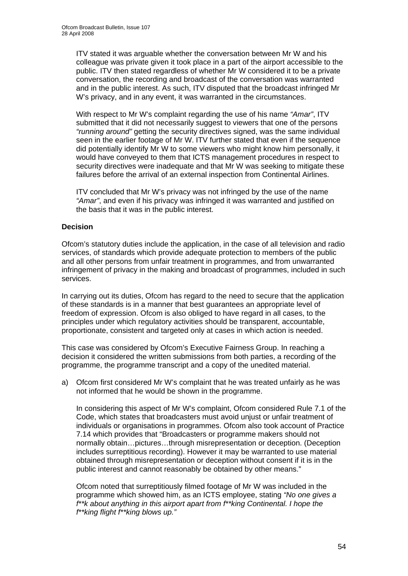ITV stated it was arguable whether the conversation between Mr W and his colleague was private given it took place in a part of the airport accessible to the public. ITV then stated regardless of whether Mr W considered it to be a private conversation, the recording and broadcast of the conversation was warranted and in the public interest. As such, ITV disputed that the broadcast infringed Mr W's privacy, and in any event, it was warranted in the circumstances.

 With respect to Mr W's complaint regarding the use of his name *"Amar"*, ITV submitted that it did not necessarily suggest to viewers that one of the persons *"running around"* getting the security directives signed, was the same individual seen in the earlier footage of Mr W. ITV further stated that even if the sequence did potentially identify Mr W to some viewers who might know him personally, it would have conveyed to them that ICTS management procedures in respect to security directives were inadequate and that Mr W was seeking to mitigate these failures before the arrival of an external inspection from Continental Airlines.

 ITV concluded that Mr W's privacy was not infringed by the use of the name *"Amar"*, and even if his privacy was infringed it was warranted and justified on the basis that it was in the public interest.

#### **Decision**

Ofcom's statutory duties include the application, in the case of all television and radio services, of standards which provide adequate protection to members of the public and all other persons from unfair treatment in programmes, and from unwarranted infringement of privacy in the making and broadcast of programmes, included in such services.

In carrying out its duties, Ofcom has regard to the need to secure that the application of these standards is in a manner that best guarantees an appropriate level of freedom of expression. Ofcom is also obliged to have regard in all cases, to the principles under which regulatory activities should be transparent, accountable, proportionate, consistent and targeted only at cases in which action is needed.

This case was considered by Ofcom's Executive Fairness Group. In reaching a decision it considered the written submissions from both parties, a recording of the programme, the programme transcript and a copy of the unedited material.

a) Ofcom first considered Mr W's complaint that he was treated unfairly as he was not informed that he would be shown in the programme.

In considering this aspect of Mr W's complaint, Ofcom considered Rule 7.1 of the Code, which states that broadcasters must avoid unjust or unfair treatment of individuals or organisations in programmes. Ofcom also took account of Practice 7.14 which provides that "Broadcasters or programme makers should not normally obtain…pictures…through misrepresentation or deception. (Deception includes surreptitious recording). However it may be warranted to use material obtained through misrepresentation or deception without consent if it is in the public interest and cannot reasonably be obtained by other means."

Ofcom noted that surreptitiously filmed footage of Mr W was included in the programme which showed him, as an ICTS employee, stating *"No one gives a f\*\*k about anything in this airport apart from f\*\*king Continental. I hope the f\*\*king flight f\*\*king blows up."*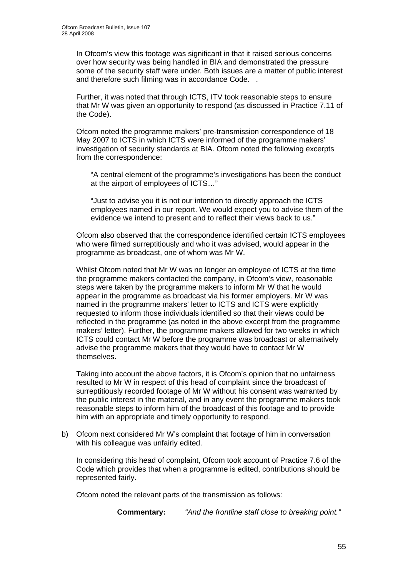In Ofcom's view this footage was significant in that it raised serious concerns over how security was being handled in BIA and demonstrated the pressure some of the security staff were under. Both issues are a matter of public interest and therefore such filming was in accordance Code. .

Further, it was noted that through ICTS, ITV took reasonable steps to ensure that Mr W was given an opportunity to respond (as discussed in Practice 7.11 of the Code).

Ofcom noted the programme makers' pre-transmission correspondence of 18 May 2007 to ICTS in which ICTS were informed of the programme makers' investigation of security standards at BIA. Ofcom noted the following excerpts from the correspondence:

"A central element of the programme's investigations has been the conduct at the airport of employees of ICTS…"

"Just to advise you it is not our intention to directly approach the ICTS employees named in our report. We would expect you to advise them of the evidence we intend to present and to reflect their views back to us."

Ofcom also observed that the correspondence identified certain ICTS employees who were filmed surreptitiously and who it was advised, would appear in the programme as broadcast, one of whom was Mr W.

Whilst Ofcom noted that Mr W was no longer an employee of ICTS at the time the programme makers contacted the company, in Ofcom's view, reasonable steps were taken by the programme makers to inform Mr W that he would appear in the programme as broadcast via his former employers. Mr W was named in the programme makers' letter to ICTS and ICTS were explicitly requested to inform those individuals identified so that their views could be reflected in the programme (as noted in the above excerpt from the programme makers' letter). Further, the programme makers allowed for two weeks in which ICTS could contact Mr W before the programme was broadcast or alternatively advise the programme makers that they would have to contact Mr W themselves.

Taking into account the above factors, it is Ofcom's opinion that no unfairness resulted to Mr W in respect of this head of complaint since the broadcast of surreptitiously recorded footage of Mr W without his consent was warranted by the public interest in the material, and in any event the programme makers took reasonable steps to inform him of the broadcast of this footage and to provide him with an appropriate and timely opportunity to respond.

b) Ofcom next considered Mr W's complaint that footage of him in conversation with his colleague was unfairly edited.

In considering this head of complaint, Ofcom took account of Practice 7.6 of the Code which provides that when a programme is edited, contributions should be represented fairly.

Ofcom noted the relevant parts of the transmission as follows:

**Commentary:** *"And the frontline staff close to breaking point."*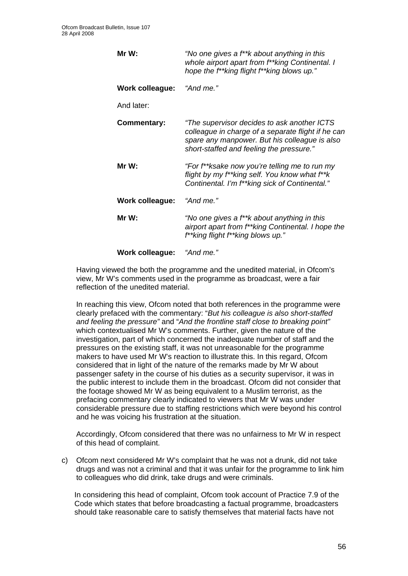| Mr W:              | "No one gives a f**k about anything in this<br>whole airport apart from f**king Continental. I<br>hope the f**king flight f**king blows up."                                                   |
|--------------------|------------------------------------------------------------------------------------------------------------------------------------------------------------------------------------------------|
| Work colleague:    | "And me."                                                                                                                                                                                      |
| And later:         |                                                                                                                                                                                                |
| <b>Commentary:</b> | "The supervisor decides to ask another ICTS<br>colleague in charge of a separate flight if he can<br>spare any manpower. But his colleague is also<br>short-staffed and feeling the pressure." |
| Mr W:              | "For f**ksake now you're telling me to run my<br>flight by my f**king self. You know what f**k<br>Continental. I'm f**king sick of Continental."                                               |
| Work colleague:    | "And me."                                                                                                                                                                                      |
| Mr W:              | "No one gives a f**k about anything in this<br>airport apart from f**king Continental. I hope the<br>f**king flight f**king blows up."                                                         |
| Work colleague:    | "And me."                                                                                                                                                                                      |

Having viewed the both the programme and the unedited material, in Ofcom's view, Mr W's comments used in the programme as broadcast, were a fair reflection of the unedited material.

In reaching this view, Ofcom noted that both references in the programme were clearly prefaced with the commentary: "*But his colleague is also short-staffed and feeling the pressure"* and "*And the frontline staff close to breaking point"*  which contextualised Mr W's comments. Further, given the nature of the investigation, part of which concerned the inadequate number of staff and the pressures on the existing staff, it was not unreasonable for the programme makers to have used Mr W's reaction to illustrate this. In this regard, Ofcom considered that in light of the nature of the remarks made by Mr W about passenger safety in the course of his duties as a security supervisor, it was in the public interest to include them in the broadcast. Ofcom did not consider that the footage showed Mr W as being equivalent to a Muslim terrorist, as the prefacing commentary clearly indicated to viewers that Mr W was under considerable pressure due to staffing restrictions which were beyond his control and he was voicing his frustration at the situation.

Accordingly, Ofcom considered that there was no unfairness to Mr W in respect of this head of complaint.

c) Ofcom next considered Mr W's complaint that he was not a drunk, did not take drugs and was not a criminal and that it was unfair for the programme to link him to colleagues who did drink, take drugs and were criminals.

In considering this head of complaint, Ofcom took account of Practice 7.9 of the Code which states that before broadcasting a factual programme, broadcasters should take reasonable care to satisfy themselves that material facts have not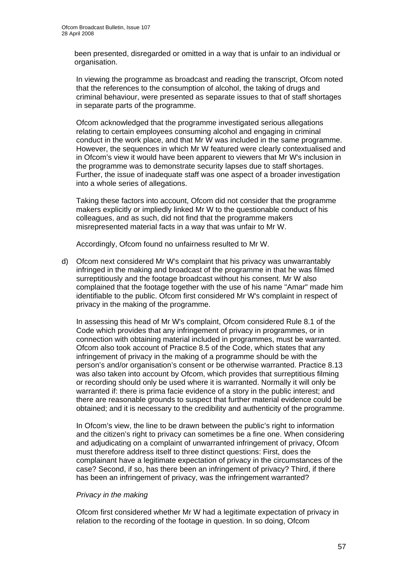been presented, disregarded or omitted in a way that is unfair to an individual or organisation.

In viewing the programme as broadcast and reading the transcript, Ofcom noted that the references to the consumption of alcohol, the taking of drugs and criminal behaviour, were presented as separate issues to that of staff shortages in separate parts of the programme.

Ofcom acknowledged that the programme investigated serious allegations relating to certain employees consuming alcohol and engaging in criminal conduct in the work place, and that Mr W was included in the same programme. However, the sequences in which Mr W featured were clearly contextualised and in Ofcom's view it would have been apparent to viewers that Mr W's inclusion in the programme was to demonstrate security lapses due to staff shortages. Further, the issue of inadequate staff was one aspect of a broader investigation into a whole series of allegations.

Taking these factors into account, Ofcom did not consider that the programme makers explicitly or impliedly linked Mr W to the questionable conduct of his colleagues, and as such, did not find that the programme makers misrepresented material facts in a way that was unfair to Mr W.

Accordingly, Ofcom found no unfairness resulted to Mr W.

d) Ofcom next considered Mr W's complaint that his privacy was unwarrantably infringed in the making and broadcast of the programme in that he was filmed surreptitiously and the footage broadcast without his consent. Mr W also complained that the footage together with the use of his name "Amar" made him identifiable to the public. Ofcom first considered Mr W's complaint in respect of privacy in the making of the programme.

In assessing this head of Mr W's complaint, Ofcom considered Rule 8.1 of the Code which provides that any infringement of privacy in programmes, or in connection with obtaining material included in programmes, must be warranted. Ofcom also took account of Practice 8.5 of the Code, which states that any infringement of privacy in the making of a programme should be with the person's and/or organisation's consent or be otherwise warranted. Practice 8.13 was also taken into account by Ofcom, which provides that surreptitious filming or recording should only be used where it is warranted. Normally it will only be warranted if: there is prima facie evidence of a story in the public interest; and there are reasonable grounds to suspect that further material evidence could be obtained; and it is necessary to the credibility and authenticity of the programme.

In Ofcom's view, the line to be drawn between the public's right to information and the citizen's right to privacy can sometimes be a fine one. When considering and adjudicating on a complaint of unwarranted infringement of privacy, Ofcom must therefore address itself to three distinct questions: First, does the complainant have a legitimate expectation of privacy in the circumstances of the case? Second, if so, has there been an infringement of privacy? Third, if there has been an infringement of privacy, was the infringement warranted?

#### *Privacy in the making*

Ofcom first considered whether Mr W had a legitimate expectation of privacy in relation to the recording of the footage in question. In so doing, Ofcom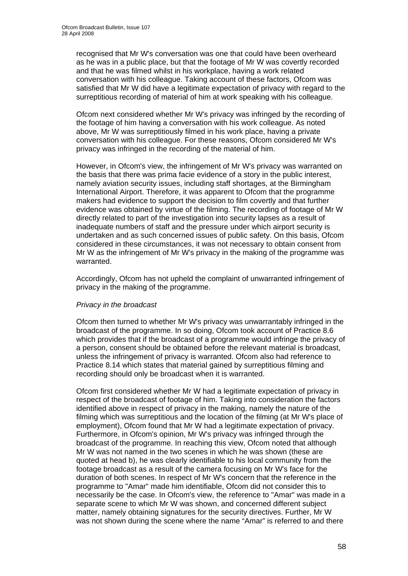recognised that Mr W's conversation was one that could have been overheard as he was in a public place, but that the footage of Mr W was covertly recorded and that he was filmed whilst in his workplace, having a work related conversation with his colleague. Taking account of these factors, Ofcom was satisfied that Mr W did have a legitimate expectation of privacy with regard to the surreptitious recording of material of him at work speaking with his colleague.

Ofcom next considered whether Mr W's privacy was infringed by the recording of the footage of him having a conversation with his work colleague. As noted above, Mr W was surreptitiously filmed in his work place, having a private conversation with his colleague. For these reasons, Ofcom considered Mr W's privacy was infringed in the recording of the material of him.

However, in Ofcom's view, the infringement of Mr W's privacy was warranted on the basis that there was prima facie evidence of a story in the public interest, namely aviation security issues, including staff shortages, at the Birmingham International Airport. Therefore, it was apparent to Ofcom that the programme makers had evidence to support the decision to film covertly and that further evidence was obtained by virtue of the filming. The recording of footage of Mr W directly related to part of the investigation into security lapses as a result of inadequate numbers of staff and the pressure under which airport security is undertaken and as such concerned issues of public safety. On this basis, Ofcom considered in these circumstances, it was not necessary to obtain consent from Mr W as the infringement of Mr W's privacy in the making of the programme was warranted.

Accordingly, Ofcom has not upheld the complaint of unwarranted infringement of privacy in the making of the programme.

#### *Privacy in the broadcast*

Ofcom then turned to whether Mr W's privacy was unwarrantably infringed in the broadcast of the programme. In so doing, Ofcom took account of Practice 8.6 which provides that if the broadcast of a programme would infringe the privacy of a person, consent should be obtained before the relevant material is broadcast, unless the infringement of privacy is warranted. Ofcom also had reference to Practice 8.14 which states that material gained by surreptitious filming and recording should only be broadcast when it is warranted.

Ofcom first considered whether Mr W had a legitimate expectation of privacy in respect of the broadcast of footage of him. Taking into consideration the factors identified above in respect of privacy in the making, namely the nature of the filming which was surreptitious and the location of the filming (at Mr W's place of employment), Ofcom found that Mr W had a legitimate expectation of privacy. Furthermore, in Ofcom's opinion, Mr W's privacy was infringed through the broadcast of the programme. In reaching this view, Ofcom noted that although Mr W was not named in the two scenes in which he was shown (these are quoted at head b), he was clearly identifiable to his local community from the footage broadcast as a result of the camera focusing on Mr W's face for the duration of both scenes. In respect of Mr W's concern that the reference in the programme to "Amar" made him identifiable, Ofcom did not consider this to necessarily be the case. In Ofcom's view, the reference to "Amar" was made in a separate scene to which Mr W was shown, and concerned different subject matter, namely obtaining signatures for the security directives. Further, Mr W was not shown during the scene where the name "Amar" is referred to and there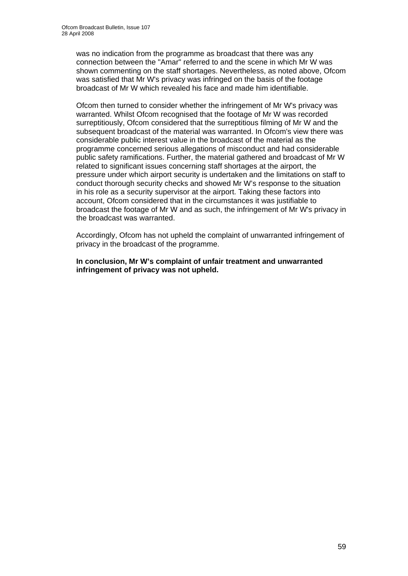was no indication from the programme as broadcast that there was any connection between the "Amar" referred to and the scene in which Mr W was shown commenting on the staff shortages. Nevertheless, as noted above, Ofcom was satisfied that Mr W's privacy was infringed on the basis of the footage broadcast of Mr W which revealed his face and made him identifiable.

Ofcom then turned to consider whether the infringement of Mr W's privacy was warranted. Whilst Ofcom recognised that the footage of Mr W was recorded surreptitiously, Ofcom considered that the surreptitious filming of Mr W and the subsequent broadcast of the material was warranted. In Ofcom's view there was considerable public interest value in the broadcast of the material as the programme concerned serious allegations of misconduct and had considerable public safety ramifications. Further, the material gathered and broadcast of Mr W related to significant issues concerning staff shortages at the airport, the pressure under which airport security is undertaken and the limitations on staff to conduct thorough security checks and showed Mr W's response to the situation in his role as a security supervisor at the airport. Taking these factors into account, Ofcom considered that in the circumstances it was justifiable to broadcast the footage of Mr W and as such, the infringement of Mr W's privacy in the broadcast was warranted.

Accordingly, Ofcom has not upheld the complaint of unwarranted infringement of privacy in the broadcast of the programme.

**In conclusion, Mr W's complaint of unfair treatment and unwarranted infringement of privacy was not upheld.**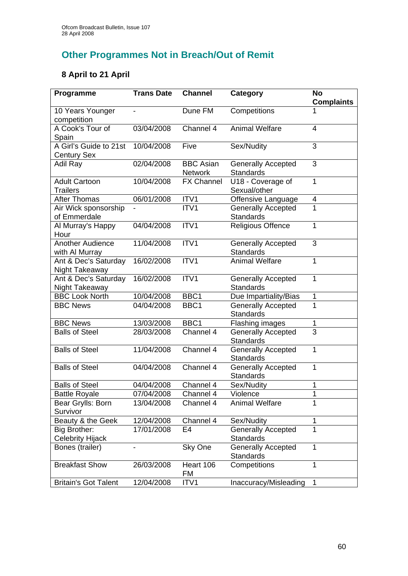## **Other Programmes Not in Breach/Out of Remit**

## **8 April to 21 April**

| Programme                                    | <b>Trans Date</b> | <b>Channel</b>                     | <b>Category</b>                               | <b>No</b><br><b>Complaints</b> |
|----------------------------------------------|-------------------|------------------------------------|-----------------------------------------------|--------------------------------|
| 10 Years Younger<br>competition              |                   | Dune FM                            | Competitions                                  |                                |
| A Cook's Tour of<br>Spain                    | 03/04/2008        | Channel 4                          | <b>Animal Welfare</b>                         | $\overline{4}$                 |
| A Girl's Guide to 21st<br><b>Century Sex</b> | 10/04/2008        | Five                               | Sex/Nudity                                    | 3                              |
| Adil Ray                                     | 02/04/2008        | <b>BBC Asian</b><br><b>Network</b> | <b>Generally Accepted</b><br><b>Standards</b> | 3                              |
| <b>Adult Cartoon</b><br><b>Trailers</b>      | 10/04/2008        | <b>FX Channel</b>                  | U18 - Coverage of<br>Sexual/other             | 1                              |
| <b>After Thomas</b>                          | 06/01/2008        | ITV1                               | Offensive Language                            | 4                              |
| Air Wick sponsorship<br>of Emmerdale         |                   | ITV1                               | <b>Generally Accepted</b><br><b>Standards</b> | 1                              |
| Al Murray's Happy<br>Hour                    | 04/04/2008        | ITV1                               | <b>Religious Offence</b>                      | 1                              |
| <b>Another Audience</b><br>with Al Murray    | 11/04/2008        | ITV1                               | <b>Generally Accepted</b><br><b>Standards</b> | 3                              |
| Ant & Dec's Saturday<br>Night Takeaway       | 16/02/2008        | ITV1                               | <b>Animal Welfare</b>                         | 1                              |
| Ant & Dec's Saturday<br>Night Takeaway       | 16/02/2008        | ITV1                               | <b>Generally Accepted</b><br><b>Standards</b> | 1                              |
| <b>BBC Look North</b>                        | 10/04/2008        | BBC1                               | Due Impartiality/Bias                         | 1                              |
| <b>BBC News</b>                              | 04/04/2008        | BBC1                               | <b>Generally Accepted</b><br><b>Standards</b> | 1                              |
| <b>BBC News</b>                              | 13/03/2008        | BBC1                               | <b>Flashing images</b>                        | 1                              |
| <b>Balls of Steel</b>                        | 28/03/2008        | Channel 4                          | <b>Generally Accepted</b><br><b>Standards</b> | $\overline{3}$                 |
| <b>Balls of Steel</b>                        | 11/04/2008        | Channel 4                          | <b>Generally Accepted</b><br>Standards        | $\mathbf{1}$                   |
| <b>Balls of Steel</b>                        | 04/04/2008        | Channel $\overline{4}$             | <b>Generally Accepted</b><br><b>Standards</b> | $\mathbf{1}$                   |
| <b>Balls of Steel</b>                        | 04/04/2008        | Channel 4                          | Sex/Nudity                                    | 1                              |
| <b>Battle Royale</b>                         | 07/04/2008        | Channel 4                          | Violence                                      | 1                              |
| Bear Grylls: Born<br>Survivor                | 13/04/2008        | Channel 4                          | <b>Animal Welfare</b>                         |                                |
| Beauty & the Geek                            | 12/04/2008        | Channel 4                          | Sex/Nudity                                    | 1                              |
| Big Brother:<br>Celebrity Hijack             | 17/01/2008        | E4                                 | <b>Generally Accepted</b><br>Standards        | 1                              |
| Bones (trailer)                              |                   | Sky One                            | <b>Generally Accepted</b><br><b>Standards</b> | $\mathbf{1}$                   |
| <b>Breakfast Show</b>                        | 26/03/2008        | Heart 106<br>FM                    | Competitions                                  | 1                              |
| <b>Britain's Got Talent</b>                  | 12/04/2008        | ITV1                               | Inaccuracy/Misleading                         | 1                              |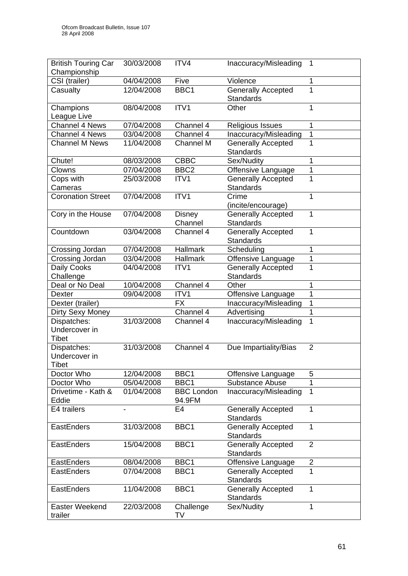| <b>British Touring Car</b><br>Championship   | 30/03/2008 | ITV4                        | Inaccuracy/Misleading                         | 1              |
|----------------------------------------------|------------|-----------------------------|-----------------------------------------------|----------------|
| CSI (trailer)                                | 04/04/2008 | Five                        | Violence                                      | 1              |
| Casualty                                     | 12/04/2008 | BBC1                        | <b>Generally Accepted</b><br><b>Standards</b> | 1              |
| Champions<br>League Live                     | 08/04/2008 | ITV1                        | Other                                         | 1              |
| Channel 4 News                               | 07/04/2008 | Channel 4                   | <b>Religious Issues</b>                       | 1              |
| <b>Channel 4 News</b>                        | 03/04/2008 | Channel 4                   | Inaccuracy/Misleading                         | 1              |
| <b>Channel M News</b>                        | 11/04/2008 | Channel M                   | <b>Generally Accepted</b><br><b>Standards</b> |                |
| Chute!                                       | 08/03/2008 | <b>CBBC</b>                 | Sex/Nudity                                    | 1              |
| Clowns                                       | 07/04/2008 | BBC <sub>2</sub>            | Offensive Language                            | 1              |
| Cops with<br>Cameras                         | 25/03/2008 | ITV1                        | <b>Generally Accepted</b><br><b>Standards</b> |                |
| <b>Coronation Street</b>                     | 07/04/2008 | ITV1                        | Crime<br>(incite/encourage)                   | 1              |
| Cory in the House                            | 07/04/2008 | <b>Disney</b><br>Channel    | <b>Generally Accepted</b><br>Standards        | 1              |
| Countdown                                    | 03/04/2008 | Channel 4                   | Generally Accepted<br>Standards               | 1              |
| Crossing Jordan                              | 07/04/2008 | <b>Hallmark</b>             | Scheduling                                    | 1              |
| Crossing Jordan                              | 03/04/2008 | <b>Hallmark</b>             | Offensive Language                            | 1              |
| Daily Cooks<br>Challenge                     | 04/04/2008 | ITV1                        | <b>Generally Accepted</b><br>Standards        |                |
| Deal or No Deal                              | 10/04/2008 | Channel 4                   | Other                                         | 1              |
| <b>Dexter</b>                                | 09/04/2008 | ITV1                        | Offensive Language                            | 1              |
| Dexter (trailer)                             |            | <b>FX</b>                   | Inaccuracy/Misleading                         | 1              |
| Dirty Sexy Money                             |            | Channel 4                   | Advertising                                   |                |
| Dispatches:<br>Undercover in<br><b>Tibet</b> | 31/03/2008 | Channel 4                   | Inaccuracy/Misleading                         | 1              |
| Dispatches:<br>Undercover in<br>Tibet        | 31/03/2008 | Channel 4                   | Due Impartiality/Bias                         | $\overline{2}$ |
| Doctor Who                                   | 12/04/2008 | BBC1                        | Offensive Language                            | 5              |
| Doctor Who                                   | 05/04/2008 | BBC1                        | Substance Abuse                               | 1              |
| Drivetime - Kath &<br>Eddie                  | 01/04/2008 | <b>BBC London</b><br>94.9FM | Inaccuracy/Misleading                         | 1              |
| E4 trailers                                  |            | E4                          | <b>Generally Accepted</b><br>Standards        | 1              |
| EastEnders                                   | 31/03/2008 | BBC1                        | <b>Generally Accepted</b><br><b>Standards</b> |                |
| EastEnders                                   | 15/04/2008 | BBC1                        | <b>Generally Accepted</b><br><b>Standards</b> | $\overline{2}$ |
| <b>EastEnders</b>                            | 08/04/2008 | BBC1                        | Offensive Language                            | $\overline{2}$ |
| EastEnders                                   | 07/04/2008 | BBC1                        | <b>Generally Accepted</b><br>Standards        | 1              |
| <b>EastEnders</b>                            | 11/04/2008 | BBC1                        | <b>Generally Accepted</b><br><b>Standards</b> | 1              |
| Easter Weekend<br>trailer                    | 22/03/2008 | Challenge<br>TV             | Sex/Nudity                                    | 1              |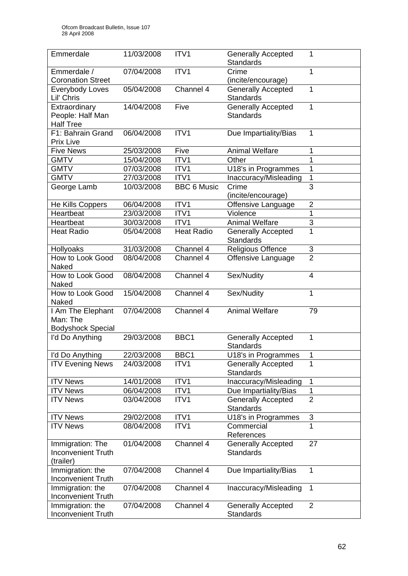| Emmerdale                                                  | 11/03/2008 | ITV1               | <b>Generally Accepted</b><br><b>Standards</b> | 1                         |
|------------------------------------------------------------|------------|--------------------|-----------------------------------------------|---------------------------|
| Emmerdale /<br><b>Coronation Street</b>                    | 07/04/2008 | ITV1               | Crime<br>(incite/encourage)                   | 1                         |
| Everybody Loves<br>Lil' Chris                              | 05/04/2008 | Channel 4          | <b>Generally Accepted</b><br><b>Standards</b> | 1                         |
| Extraordinary<br>People: Half Man<br><b>Half Tree</b>      | 14/04/2008 | Five               | Generally Accepted<br><b>Standards</b>        | 1                         |
| F1: Bahrain Grand<br><b>Prix Live</b>                      | 06/04/2008 | ITV1               | Due Impartiality/Bias                         | 1                         |
| <b>Five News</b>                                           | 25/03/2008 | Five               | <b>Animal Welfare</b>                         | 1                         |
| <b>GMTV</b>                                                | 15/04/2008 | ITV1               | Other                                         | 1                         |
| <b>GMTV</b>                                                | 07/03/2008 | ITV1               | U18's in Programmes                           | 1                         |
| <b>GMTV</b>                                                | 27/03/2008 | ITV1               | Inaccuracy/Misleading                         | 1                         |
| George Lamb                                                | 10/03/2008 | <b>BBC 6 Music</b> | Crime<br>(incite/encourage)                   | $\overline{3}$            |
| He Kills Coppers                                           | 06/04/2008 | ITV1               | Offensive Language                            | $\overline{2}$            |
| Heartbeat                                                  | 23/03/2008 | ITV1               | Violence                                      | $\mathbf{1}$              |
| Heartbeat                                                  | 30/03/2008 | ITV1               | <b>Animal Welfare</b>                         | $\ensuremath{\mathsf{3}}$ |
| <b>Heat Radio</b>                                          | 05/04/2008 | <b>Heat Radio</b>  | <b>Generally Accepted</b><br><b>Standards</b> | 1                         |
| Hollyoaks                                                  | 31/03/2008 | Channel 4          | Religious Offence                             | $\sqrt{3}$                |
| How to Look Good<br>Naked                                  | 08/04/2008 | Channel 4          | Offensive Language                            | $\overline{2}$            |
| How to Look Good<br>Naked                                  | 08/04/2008 | Channel 4          | Sex/Nudity                                    | $\overline{4}$            |
| How to Look Good<br>Naked                                  | 15/04/2008 | Channel 4          | Sex/Nudity                                    | 1                         |
| I Am The Elephant<br>Man: The<br><b>Bodyshock Special</b>  | 07/04/2008 | Channel 4          | <b>Animal Welfare</b>                         | 79                        |
| I'd Do Anything                                            | 29/03/2008 | BBC1               | <b>Generally Accepted</b><br><b>Standards</b> | 1                         |
| I'd Do Anything                                            | 22/03/2008 | BBC1               | U18's in Programmes                           | 1                         |
| <b>ITV Evening News</b>                                    | 24/03/2008 | ITV <sub>1</sub>   | <b>Generally Accepted</b><br><b>Standards</b> | 1                         |
| <b>ITV News</b>                                            | 14/01/2008 | ITV1               | Inaccuracy/Misleading                         | 1                         |
| <b>ITV News</b>                                            | 06/04/2008 | ITV1               | Due Impartiality/Bias                         | 1                         |
| <b>ITV News</b>                                            | 03/04/2008 | ITV1               | <b>Generally Accepted</b><br>Standards        | $\overline{2}$            |
| <b>ITV News</b>                                            | 29/02/2008 | ITVI               | U18's in Programmes                           | 3                         |
| <b>ITV News</b>                                            | 08/04/2008 | ITV1               | Commercial<br>References                      | 1                         |
| Immigration: The<br><b>Inconvenient Truth</b><br>(trailer) | 01/04/2008 | Channel 4          | <b>Generally Accepted</b><br><b>Standards</b> | 27                        |
| Immigration: the<br><b>Inconvenient Truth</b>              | 07/04/2008 | Channel 4          | Due Impartiality/Bias                         | 1                         |
| Immigration: the<br><b>Inconvenient Truth</b>              | 07/04/2008 | Channel 4          | Inaccuracy/Misleading                         | 1                         |
| Immigration: the<br><b>Inconvenient Truth</b>              | 07/04/2008 | Channel 4          | <b>Generally Accepted</b><br><b>Standards</b> | $\overline{2}$            |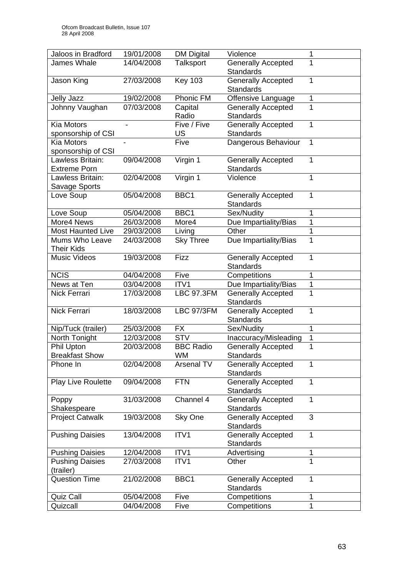| Jaloos in Bradford                               | 19/01/2008               | <b>DM Digital</b> | Violence                                           | 1      |
|--------------------------------------------------|--------------------------|-------------------|----------------------------------------------------|--------|
| James Whale                                      | 14/04/2008               | <b>Talksport</b>  | <b>Generally Accepted</b>                          |        |
|                                                  |                          |                   | <b>Standards</b>                                   |        |
| Jason King                                       | 27/03/2008               | <b>Key 103</b>    | <b>Generally Accepted</b>                          | 1      |
|                                                  |                          |                   | <b>Standards</b>                                   |        |
| <b>Jelly Jazz</b>                                | 19/02/2008               | Phonic FM         | Offensive Language                                 | 1<br>1 |
| Johnny Vaughan                                   | 07/03/2008               | Capital<br>Radio  | <b>Generally Accepted</b><br><b>Standards</b>      |        |
| <b>Kia Motors</b>                                |                          | Five / Five       | <b>Generally Accepted</b>                          | 1      |
| sponsorship of CSI                               |                          | US                | <b>Standards</b>                                   |        |
| <b>Kia Motors</b>                                |                          | Five              | Dangerous Behaviour                                | 1      |
| sponsorship of CSI                               |                          |                   |                                                    |        |
| Lawless Britain:                                 | 09/04/2008               | Virgin 1          | <b>Generally Accepted</b>                          | 1      |
| <b>Extreme Porn</b>                              |                          |                   | <b>Standards</b>                                   |        |
| Lawless Britain:                                 | 02/04/2008               | Virgin 1          | Violence                                           | 1      |
| Savage Sports                                    |                          |                   |                                                    |        |
| Love Soup                                        | 05/04/2008               | BBC <sub>1</sub>  | <b>Generally Accepted</b>                          | 1      |
|                                                  |                          |                   | <b>Standards</b>                                   |        |
| Love Soup<br>More4 News                          | 05/04/2008               | BBC1              | Sex/Nudity                                         | 1      |
| <b>Most Haunted Live</b>                         | 26/03/2008<br>29/03/2008 | More4<br>Living   | Due Impartiality/Bias<br>Other                     | 1<br>1 |
| Mums Who Leave                                   | 24/03/2008               | <b>Sky Three</b>  | Due Impartiality/Bias                              | 1      |
| <b>Their Kids</b>                                |                          |                   |                                                    |        |
| <b>Music Videos</b>                              | 19/03/2008               | Fizz              | <b>Generally Accepted</b>                          | 1      |
|                                                  |                          |                   | <b>Standards</b>                                   |        |
| <b>NCIS</b>                                      | 04/04/2008               | Five              | Competitions                                       | 1      |
| News at Ten                                      | 03/04/2008               | ITV1              | Due Impartiality/Bias                              | 1      |
| Nick Ferrari                                     | 17/03/2008               | <b>LBC 97.3FM</b> | <b>Generally Accepted</b>                          | 1      |
|                                                  |                          |                   | <b>Standards</b>                                   |        |
| Nick Ferrari                                     | 18/03/2008               | <b>LBC 97/3FM</b> | <b>Generally Accepted</b>                          | 1      |
|                                                  |                          |                   | <b>Standards</b>                                   |        |
| Nip/Tuck (trailer)                               | 25/03/2008<br>12/03/2008 | FX<br><b>STV</b>  | Sex/Nudity                                         | 1      |
| North Tonight<br>Phil Upton                      | 20/03/2008               | <b>BBC Radio</b>  | Inaccuracy/Misleading<br><b>Generally Accepted</b> | 1<br>1 |
| <b>Breakfast Show</b>                            |                          | WM                | Standards                                          |        |
| Phone In                                         | 02/04/2008               | <b>Arsenal TV</b> | <b>Generally Accepted</b>                          | 1      |
|                                                  |                          |                   | <b>Standards</b>                                   |        |
| <b>Play Live Roulette</b>                        | 09/04/2008               | <b>FTN</b>        | <b>Generally Accepted</b>                          | 1      |
|                                                  |                          |                   | Standards                                          |        |
| Poppy                                            | 31/03/2008               | Channel 4         | <b>Generally Accepted</b>                          | 1      |
| Shakespeare                                      |                          |                   | <b>Standards</b>                                   |        |
| <b>Project Catwalk</b>                           | 19/03/2008               | Sky One           | <b>Generally Accepted</b>                          | 3      |
|                                                  |                          |                   | <b>Standards</b>                                   |        |
| <b>Pushing Daisies</b>                           | 13/04/2008               | ITV1              | <b>Generally Accepted</b>                          | 1      |
|                                                  | 12/04/2008               | ITV1              | <b>Standards</b><br>Advertising                    |        |
| <b>Pushing Daisies</b><br><b>Pushing Daisies</b> | 27/03/2008               | ITV1              | Other                                              | 1      |
| (trailer)                                        |                          |                   |                                                    |        |
| <b>Question Time</b>                             | 21/02/2008               | BBC1              | <b>Generally Accepted</b>                          | 1      |
|                                                  |                          |                   | <b>Standards</b>                                   |        |
| Quiz Call                                        | 05/04/2008               | Five              | Competitions                                       | 1      |
| Quizcall                                         | 04/04/2008               | Five              | Competitions                                       | 1      |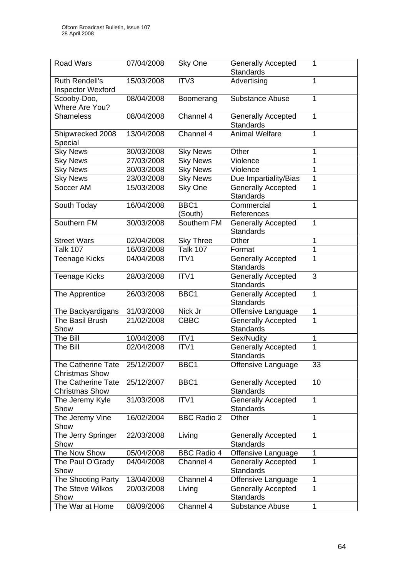| <b>Road Wars</b>                                   | 07/04/2008 | Sky One            | <b>Generally Accepted</b><br><b>Standards</b> | 1            |
|----------------------------------------------------|------------|--------------------|-----------------------------------------------|--------------|
| <b>Ruth Rendell's</b><br><b>Inspector Wexford</b>  | 15/03/2008 | ITV3               | Advertising                                   | 1            |
| Scooby-Doo,<br>Where Are You?                      | 08/04/2008 | Boomerang          | <b>Substance Abuse</b>                        | 1            |
| <b>Shameless</b>                                   | 08/04/2008 | Channel 4          | <b>Generally Accepted</b><br><b>Standards</b> | $\mathbf{1}$ |
| Shipwrecked 2008<br>Special                        | 13/04/2008 | Channel 4          | <b>Animal Welfare</b>                         | 1            |
| <b>Sky News</b>                                    | 30/03/2008 | <b>Sky News</b>    | Other                                         | 1            |
| <b>Sky News</b>                                    | 27/03/2008 | <b>Sky News</b>    | Violence                                      | 1            |
| <b>Sky News</b>                                    | 30/03/2008 | <b>Sky News</b>    | Violence                                      | 1            |
| <b>Sky News</b>                                    | 23/03/2008 | <b>Sky News</b>    | Due Impartiality/Bias                         | 1            |
| Soccer AM                                          | 15/03/2008 | Sky One            | <b>Generally Accepted</b><br><b>Standards</b> | 1            |
| South Today                                        | 16/04/2008 | BBC1<br>(South)    | Commercial<br>References                      | 1            |
| Southern FM                                        | 30/03/2008 | Southern FM        | <b>Generally Accepted</b><br>Standards        | 1            |
| <b>Street Wars</b>                                 | 02/04/2008 | <b>Sky Three</b>   | Other                                         | 1            |
| <b>Talk 107</b>                                    | 16/03/2008 | <b>Talk 107</b>    | Format                                        | 1            |
| <b>Teenage Kicks</b>                               | 04/04/2008 | ITV1               | <b>Generally Accepted</b><br><b>Standards</b> | 1            |
| <b>Teenage Kicks</b>                               | 28/03/2008 | ITV1               | <b>Generally Accepted</b><br><b>Standards</b> | 3            |
| The Apprentice                                     | 26/03/2008 | BBC1               | <b>Generally Accepted</b><br><b>Standards</b> | 1            |
| The Backyardigans                                  | 31/03/2008 | Nick Jr            | Offensive Language                            | 1            |
| The Basil Brush<br>Show                            | 21/02/2008 | <b>CBBC</b>        | <b>Generally Accepted</b><br><b>Standards</b> | 1            |
| The Bill                                           | 10/04/2008 | ITV1               | Sex/Nudity                                    | 1            |
| The Bill                                           | 02/04/2008 | ITV1               | <b>Generally Accepted</b><br><b>Standards</b> | 1            |
| The Catherine Tate<br><b>Christmas Show</b>        | 25/12/2007 | BBC1               | Offensive Language                            | 33           |
| <b>The Catherine Tate</b><br><b>Christmas Show</b> | 25/12/2007 | BBC1               | <b>Generally Accepted</b><br><b>Standards</b> | 10           |
| The Jeremy Kyle<br>Show                            | 31/03/2008 | ITV1               | <b>Generally Accepted</b><br><b>Standards</b> | $\mathbf{1}$ |
| The Jeremy Vine<br>Show                            | 16/02/2004 | <b>BBC Radio 2</b> | Other                                         | 1            |
| The Jerry Springer<br>Show                         | 22/03/2008 | Living             | <b>Generally Accepted</b><br><b>Standards</b> | 1            |
| The Now Show                                       | 05/04/2008 | <b>BBC Radio 4</b> | Offensive Language                            | 1            |
| The Paul O'Grady<br>Show                           | 04/04/2008 | Channel 4          | <b>Generally Accepted</b><br><b>Standards</b> | 1            |
| The Shooting Party                                 | 13/04/2008 | Channel 4          | Offensive Language                            | 1            |
| <b>The Steve Wilkos</b><br>Show                    | 20/03/2008 | Living             | <b>Generally Accepted</b><br><b>Standards</b> | 1            |
| The War at Home                                    | 08/09/2006 | Channel 4          | <b>Substance Abuse</b>                        | 1            |